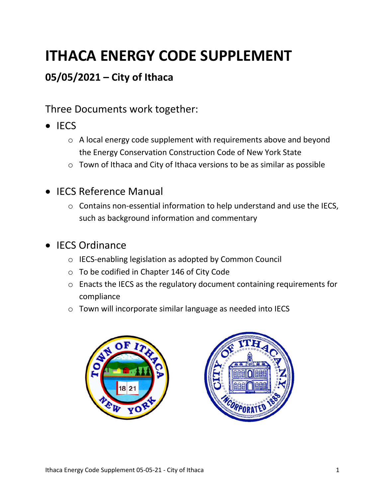# **ITHACA ENERGY CODE SUPPLEMENT**

## **05/05/2021 – City of Ithaca**

Three Documents work together:

- $\bullet$  IECS
	- o A local energy code supplement with requirements above and beyond the Energy Conservation Construction Code of New York State
	- o Town of Ithaca and City of Ithaca versions to be as similar as possible
- IECS Reference Manual
	- o Contains non-essential information to help understand and use the IECS, such as background information and commentary
- IECS Ordinance
	- o IECS-enabling legislation as adopted by Common Council
	- o To be codified in Chapter 146 of City Code
	- o Enacts the IECS as the regulatory document containing requirements for compliance
	- o Town will incorporate similar language as needed into IECS



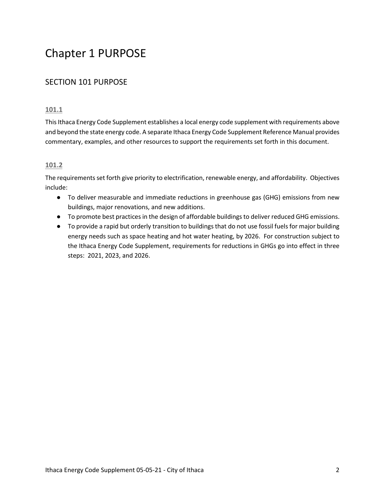## Chapter 1 PURPOSE

## SECTION 101 PURPOSE

#### **101.1**

This Ithaca Energy Code Supplement establishes a local energy code supplement with requirements above and beyond the state energy code. A separate Ithaca Energy Code Supplement Reference Manual provides commentary, examples, and other resources to support the requirements set forth in this document.

#### **101.2**

The requirements set forth give priority to electrification, renewable energy, and affordability. Objectives include:

- To deliver measurable and immediate reductions in greenhouse gas (GHG) emissions from new buildings, major renovations, and new additions.
- To promote best practices in the design of affordable buildings to deliver reduced GHG emissions.
- To provide a rapid but orderly transition to buildings that do not use fossil fuels for major building energy needs such as space heating and hot water heating, by 2026. For construction subject to the Ithaca Energy Code Supplement, requirements for reductions in GHGs go into effect in three steps: 2021, 2023, and 2026.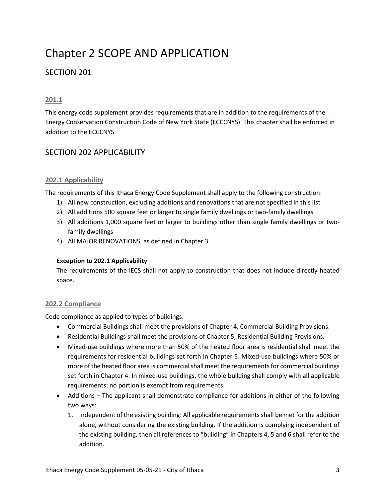## Chapter 2 SCOPE AND APPLICATION

## SECTION 201

#### **201.1**

This energy code supplement provides requirements that are in addition to the requirements of the Energy Conservation Construction Code of New York State (ECCCNYS). This chapter shall be enforced in addition to the ECCCNYS.

### SECTION 202 APPLICABILITY

#### **202.1 Applicability**

The requirements of this Ithaca Energy Code Supplement shall apply to the following construction:

- 1) All new construction, excluding additions and renovations that are not specified in this list
- 2) All additions 500 square feet or larger to single family dwellings or two-family dwellings
- 3) All additions 1,000 square feet or larger to buildings other than single family dwellings or twofamily dwellings
- 4) All MAJOR RENOVATIONS, as defined in Chapter 3.

#### **Exception to 202.1 Applicability**

The requirements of the IECS shall not apply to construction that does not include directly heated space.

#### **202.2 Compliance**

Code compliance as applied to types of buildings:

- Commercial Buildings shall meet the provisions of Chapter 4, Commercial Building Provisions.
- Residential Buildings shall meet the provisions of Chapter 5, Residential Building Provisions.
- Mixed-use buildings where more than 50% of the heated floor area is residential shall meet the requirements for residential buildings set forth in Chapter 5. Mixed-use buildings where 50% or more of the heated floor area is commercial shall meet the requirements for commercial buildings set forth in Chapter 4. In mixed-use buildings, the whole building shall comply with all applicable requirements; no portion is exempt from requirements.
- Additions The applicant shall demonstrate compliance for additions in either of the following two ways:
	- 1. Independent of the existing building: All applicable requirements shall be met for the addition alone, without considering the existing building. If the addition is complying independent of the existing building, then all references to "building" in Chapters 4, 5 and 6 shall refer to the addition.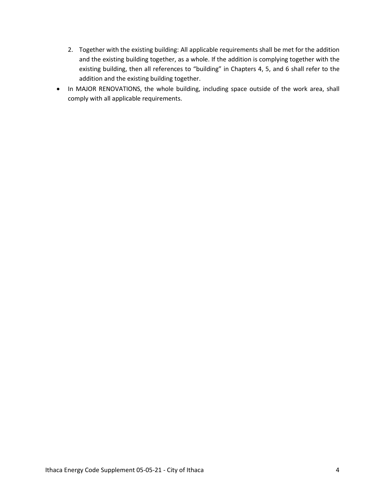- 2. Together with the existing building: All applicable requirements shall be met for the addition and the existing building together, as a whole. If the addition is complying together with the existing building, then all references to "building" in Chapters 4, 5, and 6 shall refer to the addition and the existing building together.
- In MAJOR RENOVATIONS, the whole building, including space outside of the work area, shall comply with all applicable requirements.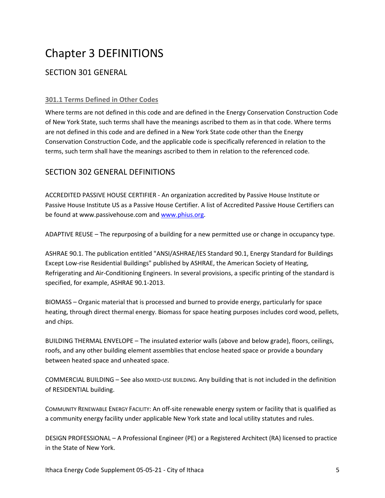## Chapter 3 DEFINITIONS

## SECTION 301 GENERAL

#### **301.1 Terms Defined in Other Codes**

Where terms are not defined in this code and are defined in the Energy Conservation Construction Code of New York State, such terms shall have the meanings ascribed to them as in that code. Where terms are not defined in this code and are defined in a New York State code other than the Energy Conservation Construction Code, and the applicable code is specifically referenced in relation to the terms, such term shall have the meanings ascribed to them in relation to the referenced code.

## SECTION 302 GENERAL DEFINITIONS

ACCREDITED PASSIVE HOUSE CERTIFIER - An organization accredited by Passive House Institute or Passive House Institute US as a Passive House Certifier. A list of Accredited Passive House Certifiers can be found at www.passivehouse.com and www.phius.org.

ADAPTIVE REUSE – The repurposing of a building for a new permitted use or change in occupancy type.

ASHRAE 90.1. The publication entitled "ANSI/ASHRAE/IES Standard 90.1, Energy Standard for Buildings Except Low-rise Residential Buildings" published by ASHRAE, the American Society of Heating, Refrigerating and Air-Conditioning Engineers. In several provisions, a specific printing of the standard is specified, for example, ASHRAE 90.1-2013.

BIOMASS – Organic material that is processed and burned to provide energy, particularly for space heating, through direct thermal energy. Biomass for space heating purposes includes cord wood, pellets, and chips.

BUILDING THERMAL ENVELOPE – The insulated exterior walls (above and below grade), floors, ceilings, roofs, and any other building element assemblies that enclose heated space or provide a boundary between heated space and unheated space.

COMMERCIAL BUILDING – See also MIXED-USE BUILDING. Any building that is not included in the definition of RESIDENTIAL building.

COMMUNITY RENEWABLE ENERGY FACILITY: An off-site renewable energy system or facility that is qualified as a community energy facility under applicable New York state and local utility statutes and rules.

DESIGN PROFESSIONAL – A Professional Engineer (PE) or a Registered Architect (RA) licensed to practice in the State of New York.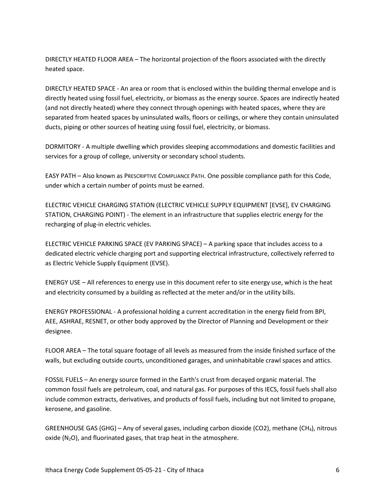DIRECTLY HEATED FLOOR AREA – The horizontal projection of the floors associated with the directly heated space.

DIRECTLY HEATED SPACE - An area or room that is enclosed within the building thermal envelope and is directly heated using fossil fuel, electricity, or biomass as the energy source. Spaces are indirectly heated (and not directly heated) where they connect through openings with heated spaces, where they are separated from heated spaces by uninsulated walls, floors or ceilings, or where they contain uninsulated ducts, piping or other sources of heating using fossil fuel, electricity, or biomass.

DORMITORY - A multiple dwelling which provides sleeping accommodations and domestic facilities and services for a group of college, university or secondary school students.

EASY PATH – Also known as PRESCRIPTIVE COMPLIANCE PATH. One possible compliance path for this Code, under which a certain number of points must be earned.

ELECTRIC VEHICLE CHARGING STATION (ELECTRIC VEHICLE SUPPLY EQUIPMENT [EVSE], EV CHARGING STATION, CHARGING POINT) - The element in an infrastructure that supplies electric energy for the recharging of plug-in electric vehicles.

ELECTRIC VEHICLE PARKING SPACE (EV PARKING SPACE) – A parking space that includes access to a dedicated electric vehicle charging port and supporting electrical infrastructure, collectively referred to as Electric Vehicle Supply Equipment (EVSE).

ENERGY USE – All references to energy use in this document refer to site energy use, which is the heat and electricity consumed by a building as reflected at the meter and/or in the utility bills.

ENERGY PROFESSIONAL - A professional holding a current accreditation in the energy field from BPI, AEE, ASHRAE, RESNET, or other body approved by the Director of Planning and Development or their designee.

FLOOR AREA – The total square footage of all levels as measured from the inside finished surface of the walls, but excluding outside courts, unconditioned garages, and uninhabitable crawl spaces and attics.

FOSSIL FUELS – An energy source formed in the Earth's crust from decayed organic material. The common fossil fuels are petroleum, coal, and natural gas. For purposes of this IECS, fossil fuels shall also include common extracts, derivatives, and products of fossil fuels, including but not limited to propane, kerosene, and gasoline.

GREENHOUSE GAS (GHG) – Any of several gases, including carbon dioxide (CO2), methane (CH4), nitrous oxide  $(N_2O)$ , and fluorinated gases, that trap heat in the atmosphere.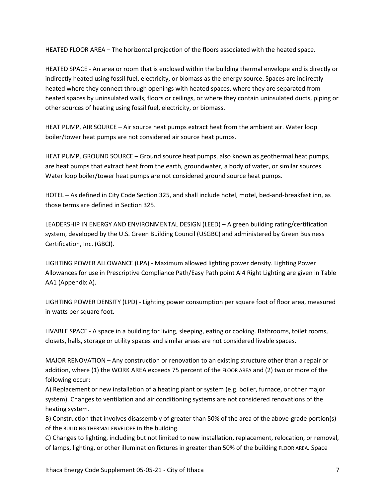HEATED FLOOR AREA – The horizontal projection of the floors associated with the heated space.

HEATED SPACE - An area or room that is enclosed within the building thermal envelope and is directly or indirectly heated using fossil fuel, electricity, or biomass as the energy source. Spaces are indirectly heated where they connect through openings with heated spaces, where they are separated from heated spaces by uninsulated walls, floors or ceilings, or where they contain uninsulated ducts, piping or other sources of heating using fossil fuel, electricity, or biomass.

HEAT PUMP, AIR SOURCE – Air source heat pumps extract heat from the ambient air. Water loop boiler/tower heat pumps are not considered air source heat pumps.

HEAT PUMP, GROUND SOURCE – Ground source heat pumps, also known as geothermal heat pumps, are heat pumps that extract heat from the earth, groundwater, a body of water, or similar sources. Water loop boiler/tower heat pumps are not considered ground source heat pumps.

HOTEL – As defined in City Code Section 325, and shall include hotel, motel, bed-and-breakfast inn, as those terms are defined in Section 325.

LEADERSHIP IN ENERGY AND ENVIRONMENTAL DESIGN (LEED) – A green building rating/certification system, developed by the U.S. Green Building Council (USGBC) and administered by Green Business Certification, Inc. (GBCI).

LIGHTING POWER ALLOWANCE (LPA) - Maximum allowed lighting power density. Lighting Power Allowances for use in Prescriptive Compliance Path/Easy Path point AI4 Right Lighting are given in Table AA1 (Appendix A).

LIGHTING POWER DENSITY (LPD) - Lighting power consumption per square foot of floor area, measured in watts per square foot.

LIVABLE SPACE - A space in a building for living, sleeping, eating or cooking. Bathrooms, toilet rooms, closets, halls, storage or utility spaces and similar areas are not considered livable spaces.

MAJOR RENOVATION – Any construction or renovation to an existing structure other than a repair or addition, where (1) the WORK AREA exceeds 75 percent of the FLOOR AREA and (2) two or more of the following occur:

A) Replacement or new installation of a heating plant or system (e.g. boiler, furnace, or other major system). Changes to ventilation and air conditioning systems are not considered renovations of the heating system.

B) Construction that involves disassembly of greater than 50% of the area of the above-grade portion(s) of the BUILDING THERMAL ENVELOPE in the building.

C) Changes to lighting, including but not limited to new installation, replacement, relocation, or removal, of lamps, lighting, or other illumination fixtures in greater than 50% of the building FLOOR AREA. Space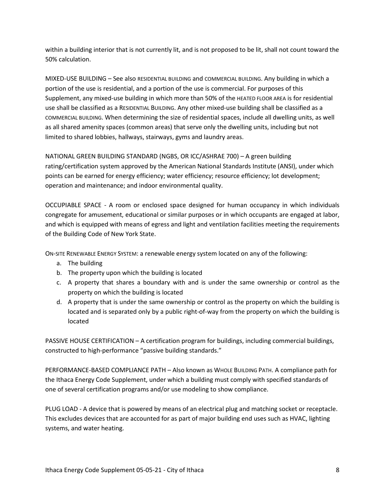within a building interior that is not currently lit, and is not proposed to be lit, shall not count toward the 50% calculation.

MIXED-USE BUILDING – See also RESIDENTIAL BUILDING and COMMERCIAL BUILDING. Any building in which a portion of the use is residential, and a portion of the use is commercial. For purposes of this Supplement, any mixed-use building in which more than 50% of the HEATED FLOOR AREA is for residential use shall be classified as a RESIDENTIAL BUILDING. Any other mixed-use building shall be classified as a COMMERCIAL BUILDING. When determining the size of residential spaces, include all dwelling units, as well as all shared amenity spaces (common areas) that serve only the dwelling units, including but not limited to shared lobbies, hallways, stairways, gyms and laundry areas.

NATIONAL GREEN BUILDING STANDARD (NGBS, OR ICC/ASHRAE 700) – A green building rating/certification system approved by the American National Standards Institute (ANSI), under which points can be earned for energy efficiency; water efficiency; resource efficiency; lot development; operation and maintenance; and indoor environmental quality.

OCCUPIABLE SPACE - A room or enclosed space designed for human occupancy in which individuals congregate for amusement, educational or similar purposes or in which occupants are engaged at labor, and which is equipped with means of egress and light and ventilation facilities meeting the requirements of the Building Code of New York State.

ON-SITE RENEWABLE ENERGY SYSTEM: a renewable energy system located on any of the following:

- a. The building
- b. The property upon which the building is located
- c. A property that shares a boundary with and is under the same ownership or control as the property on which the building is located
- d. A property that is under the same ownership or control as the property on which the building is located and is separated only by a public right-of-way from the property on which the building is located

PASSIVE HOUSE CERTIFICATION – A certification program for buildings, including commercial buildings, constructed to high-performance "passive building standards."

PERFORMANCE-BASED COMPLIANCE PATH – Also known as WHOLE BUILDING PATH. A compliance path for the Ithaca Energy Code Supplement, under which a building must comply with specified standards of one of several certification programs and/or use modeling to show compliance.

PLUG LOAD - A device that is powered by means of an electrical plug and matching socket or receptacle. This excludes devices that are accounted for as part of major building end uses such as HVAC, lighting systems, and water heating.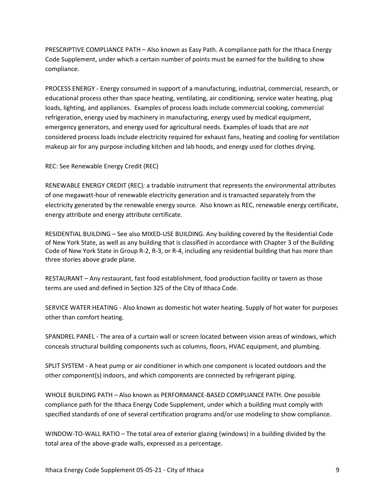PRESCRIPTIVE COMPLIANCE PATH – Also known as Easy Path. A compliance path for the Ithaca Energy Code Supplement, under which a certain number of points must be earned for the building to show compliance.

PROCESS ENERGY - Energy consumed in support of a manufacturing, industrial, commercial, research, or educational process other than space heating, ventilating, air conditioning, service water heating, plug loads, lighting, and appliances. Examples of process loads include commercial cooking, commercial refrigeration, energy used by machinery in manufacturing, energy used by medical equipment, emergency generators, and energy used for agricultural needs. Examples of loads that are *not* considered process loads include electricity required for exhaust fans, heating and cooling for ventilation makeup air for any purpose including kitchen and lab hoods, and energy used for clothes drying.

REC: See Renewable Energy Credit (REC)

RENEWABLE ENERGY CREDIT (REC)*:* a tradable instrument that represents the environmental attributes of one megawatt-hour of renewable electricity generation and is transacted separately from the electricity generated by the renewable energy source. Also known as REC, renewable energy certificate, energy attribute and energy attribute certificate.

RESIDENTIAL BUILDING – See also MIXED-USE BUILDING. Any building covered by the Residential Code of New York State, as well as any building that is classified in accordance with Chapter 3 of the Building Code of New York State in Group R-2, R-3, or R-4, including any residential building that has more than three stories above grade plane.

RESTAURANT – Any restaurant, fast food establishment, food production facility or tavern as those terms are used and defined in Section 325 of the City of Ithaca Code.

SERVICE WATER HEATING - Also known as domestic hot water heating. Supply of hot water for purposes other than comfort heating.

SPANDREL PANEL - The area of a curtain wall or screen located between vision areas of windows, which conceals structural building components such as columns, floors, HVAC equipment, and plumbing.

SPLIT SYSTEM - A heat pump or air conditioner in which one component is located outdoors and the other component(s) indoors, and which components are connected by refrigerant piping.

WHOLE BUILDING PATH – Also known as PERFORMANCE-BASED COMPLIANCE PATH. One possible compliance path for the Ithaca Energy Code Supplement, under which a building must comply with specified standards of one of several certification programs and/or use modeling to show compliance.

WINDOW-TO-WALL RATIO – The total area of exterior glazing (windows) in a building divided by the total area of the above-grade walls, expressed as a percentage.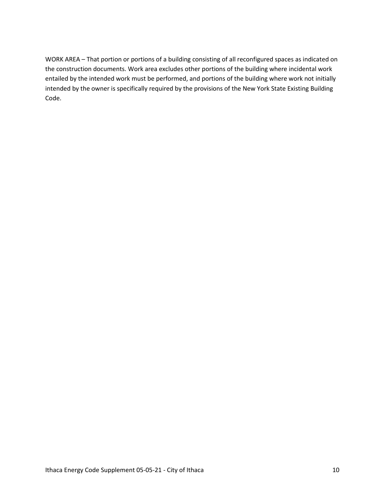WORK AREA – That portion or portions of a building consisting of all reconfigured spaces as indicated on the construction documents. Work area excludes other portions of the building where incidental work entailed by the intended work must be performed, and portions of the building where work not initially intended by the owner is specifically required by the provisions of the New York State Existing Building Code.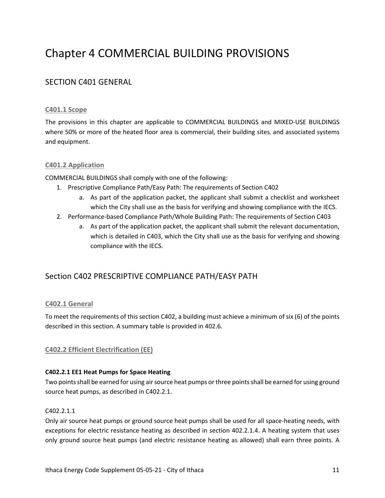## Chapter 4 COMMERCIAL BUILDING PROVISIONS

## SECTION C401 GENERAL

#### **C401.1 Scope**

The provisions in this chapter are applicable to COMMERCIAL BUILDINGS and MIXED-USE BUILDINGS where 50% or more of the heated floor area is commercial, their building sites, and associated systems and equipment.

#### **C401.2 Application**

COMMERCIAL BUILDINGS shall comply with one of the following:

- 1. Prescriptive Compliance Path/Easy Path: The requirements of Section C402
	- a. As part of the application packet, the applicant shall submit a checklist and worksheet which the City shall use as the basis for verifying and showing compliance with the IECS.
- 2. Performance-based Compliance Path/Whole Building Path: The requirements of Section C403
	- a. As part of the application packet, the applicant shall submit the relevant documentation, which is detailed in C403, which the City shall use as the basis for verifying and showing compliance with the IECS.

### Section C402 PRESCRIPTIVE COMPLIANCE PATH/EASY PATH

#### **C402.1 General**

To meet the requirements of this section C402, a building must achieve a minimum of six (6) of the points described in this section. A summary table is provided in 402.6.

#### **C402.2 Efficient Electrification (EE)**

#### **C402.2.1 EE1 Heat Pumps for Space Heating**

Two points shall be earned for using air source heat pumps or three points shall be earned for using ground source heat pumps, as described in C402.2.1.

#### C402.2.1.1

Only air source heat pumps or ground source heat pumps shall be used for all space-heating needs, with exceptions for electric resistance heating as described in section 402.2.1.4. A heating system that uses only ground source heat pumps (and electric resistance heating as allowed) shall earn three points. A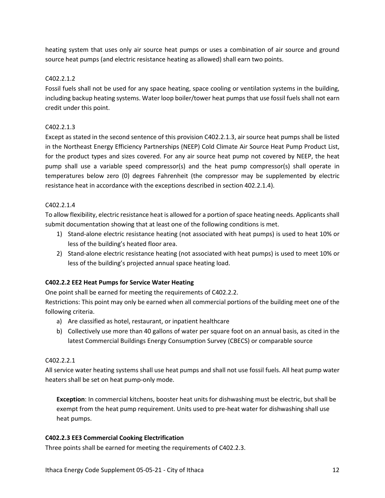heating system that uses only air source heat pumps or uses a combination of air source and ground source heat pumps (and electric resistance heating as allowed) shall earn two points.

#### C402.2.1.2

Fossil fuels shall not be used for any space heating, space cooling or ventilation systems in the building, including backup heating systems. Water loop boiler/tower heat pumps that use fossil fuels shall not earn credit under this point.

#### C402.2.1.3

Except as stated in the second sentence of this provision C402.2.1.3, air source heat pumps shall be listed in the Northeast Energy Efficiency Partnerships (NEEP) Cold Climate Air Source Heat Pump Product List, for the product types and sizes covered. For any air source heat pump not covered by NEEP, the heat pump shall use a variable speed compressor(s) and the heat pump compressor(s) shall operate in temperatures below zero (0) degrees Fahrenheit (the compressor may be supplemented by electric resistance heat in accordance with the exceptions described in section 402.2.1.4).

#### C402.2.1.4

To allow flexibility, electric resistance heat is allowed for a portion of space heating needs. Applicants shall submit documentation showing that at least one of the following conditions is met.

- 1) Stand-alone electric resistance heating (not associated with heat pumps) is used to heat 10% or less of the building's heated floor area.
- 2) Stand-alone electric resistance heating (not associated with heat pumps) is used to meet 10% or less of the building's projected annual space heating load.

#### **C402.2.2 EE2 Heat Pumps for Service Water Heating**

One point shall be earned for meeting the requirements of C402.2.2.

Restrictions: This point may only be earned when all commercial portions of the building meet one of the following criteria.

- a) Are classified as hotel, restaurant, or inpatient healthcare
- b) Collectively use more than 40 gallons of water per square foot on an annual basis, as cited in the latest Commercial Buildings Energy Consumption Survey (CBECS) or comparable source

#### C402.2.2.1

All service water heating systems shall use heat pumps and shall not use fossil fuels. All heat pump water heaters shall be set on heat pump-only mode.

**Exception**: In commercial kitchens, booster heat units for dishwashing must be electric, but shall be exempt from the heat pump requirement. Units used to pre-heat water for dishwashing shall use heat pumps.

#### **C402.2.3 EE3 Commercial Cooking Electrification**

Three points shall be earned for meeting the requirements of C402.2.3.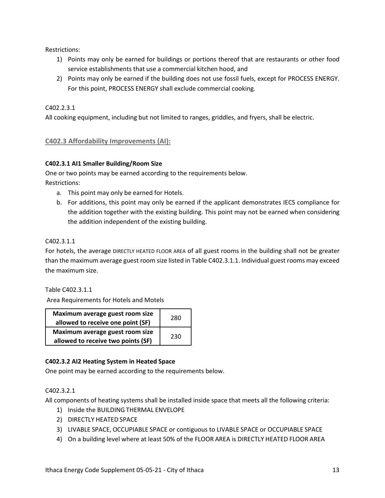Restrictions:

- 1) Points may only be earned for buildings or portions thereof that are restaurants or other food service establishments that use a commercial kitchen hood, and
- 2) Points may only be earned if the building does not use fossil fuels, except for PROCESS ENERGY. For this point, PROCESS ENERGY shall exclude commercial cooking.

#### C402.2.3.1

All cooking equipment, including but not limited to ranges, griddles, and fryers, shall be electric.

#### **C402.3 Affordability Improvements (AI):**

#### **C402.3.1 AI1 Smaller Building/Room Size**

One or two points may be earned according to the requirements below. Restrictions:

- a. This point may only be earned for Hotels.
- b. For additions, this point may only be earned if the applicant demonstrates IECS compliance for the addition together with the existing building. This point may not be earned when considering the addition independent of the existing building.

#### C402.3.1.1

For hotels, the average DIRECTLY HEATED FLOOR AREA of all guest rooms in the building shall not be greater than the maximum average guest room size listed in Table C402.3.1.1. Individual guest rooms may exceed the maximum size.

Table C402.3.1.1

Area Requirements for Hotels and Motels

| Maximum average guest room size<br>allowed to receive one point (SF)  | 280 |
|-----------------------------------------------------------------------|-----|
| Maximum average guest room size<br>allowed to receive two points (SF) | 230 |

#### **C402.3.2 AI2 Heating System in Heated Space**

One point may be earned according to the requirements below.

#### C402.3.2.1

All components of heating systems shall be installed inside space that meets all the following criteria:

- 1) Inside the BUILDING THERMAL ENVELOPE
- 2) DIRECTLY HEATED SPACE
- 3) LIVABLE SPACE, OCCUPIABLE SPACE or contiguous to LIVABLE SPACE or OCCUPIABLE SPACE
- 4) On a building level where at least 50% of the FLOOR AREA is DIRECTLY HEATED FLOOR AREA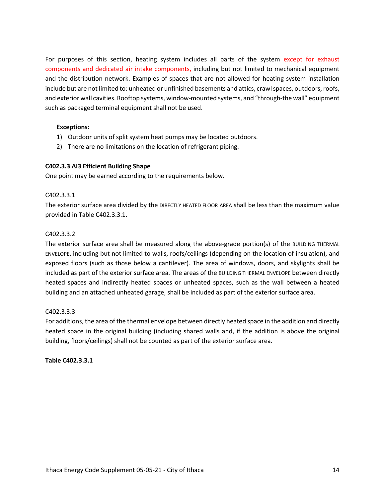For purposes of this section, heating system includes all parts of the system except for exhaust components and dedicated air intake components, including but not limited to mechanical equipment and the distribution network. Examples of spaces that are not allowed for heating system installation include but are not limited to: unheated or unfinished basements and attics, crawl spaces, outdoors, roofs, and exterior wall cavities. Rooftop systems, window-mounted systems, and "through-the wall" equipment such as packaged terminal equipment shall not be used.

#### **Exceptions:**

- 1) Outdoor units of split system heat pumps may be located outdoors.
- 2) There are no limitations on the location of refrigerant piping.

#### **C402.3.3 AI3 Efficient Building Shape**

One point may be earned according to the requirements below.

#### C402.3.3.1

The exterior surface area divided by the DIRECTLY HEATED FLOOR AREA shall be less than the maximum value provided in Table C402.3.3.1.

#### C402.3.3.2

The exterior surface area shall be measured along the above-grade portion(s) of the BUILDING THERMAL ENVELOPE, including but not limited to walls, roofs/ceilings (depending on the location of insulation), and exposed floors (such as those below a cantilever). The area of windows, doors, and skylights shall be included as part of the exterior surface area. The areas of the BUILDING THERMAL ENVELOPE between directly heated spaces and indirectly heated spaces or unheated spaces, such as the wall between a heated building and an attached unheated garage, shall be included as part of the exterior surface area.

#### C402.3.3.3

For additions, the area of the thermal envelope between directly heated space in the addition and directly heated space in the original building (including shared walls and, if the addition is above the original building, floors/ceilings) shall not be counted as part of the exterior surface area.

#### **Table C402.3.3.1**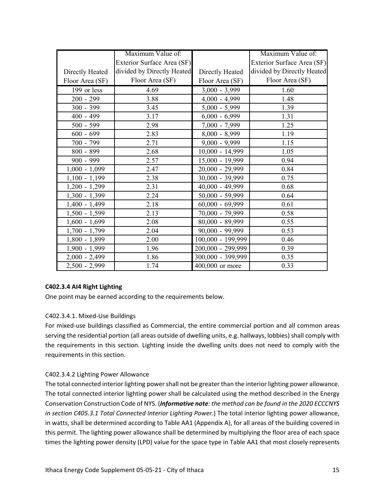|                 | Maximum Value of:          |                   | Maximum Value of:          |
|-----------------|----------------------------|-------------------|----------------------------|
|                 | Exterior Surface Area (SF) |                   | Exterior Surface Area (SF) |
| Directly Heated | divided by Directly Heated | Directly Heated   | divided by Directly Heated |
| Floor Area (SF) | Floor Area (SF)            | Floor Area (SF)   | Floor Area (SF)            |
| 199 or less     | 4.69                       | $3,000 - 3,999$   | 1.60                       |
| $200 - 299$     | 3.88                       | $4,000 - 4,999$   | 1.48                       |
| $300 - 399$     | 3.45                       | $5,000 - 5,999$   | 1.39                       |
| 400 - 499       | 3.17                       | $6,000 - 6,999$   | 1.31                       |
| $500 - 599$     | 2.98                       | $7,000 - 7,999$   | 1.25                       |
| $600 - 699$     | 2.83                       | $8,000 - 8,999$   | 1.19                       |
| 700 - 799       | 2.71                       | $9,000 - 9,999$   | 1.15                       |
| 800 - 899       | 2.68                       | $10,000 - 14,999$ | 1.05                       |
| $900 - 999$     | 2.57                       | 15,000 - 19,999   | 0.94                       |
| $1,000 - 1,099$ | 2.47                       | 20,000 - 29,999   | 0.84                       |
| $1,100 - 1,199$ | 2.38                       | 30,000 - 39,999   | 0.75                       |
| $1,200 - 1,299$ | 2.31                       | $40,000 - 49,999$ | 0.68                       |
| $1,300 - 1,399$ | 2.24                       | $50,000 - 59,999$ | 0.64                       |
| 1,400 - 1,499   | 2.18                       | $60,000 - 69,999$ | 0.61                       |
| $1,500 - 1,599$ | 2.13                       | 70,000 - 79,999   | 0.58                       |
| $1,600 - 1,699$ | 2.08                       | $80,000 - 89,999$ | 0.55                       |
| $1,700 - 1,799$ | 2.04                       | $90,000 - 99,999$ | 0.53                       |
| $1,800 - 1,899$ | 2.00                       | 100,000 - 199,999 | 0.46                       |
| $1,900 - 1,999$ | 1.96                       | 200,000 - 299,999 | 0.39                       |
| $2,000 - 2,499$ | 1.86                       | 300,000 - 399,999 | 0.35                       |
| $2,500 - 2,999$ | 1.74                       | 400,000 or more   | 0.33                       |

#### **C402.3.4 AI4 Right Lighting**

One point may be earned according to the requirements below.

#### C402.3.4.1. Mixed-Use Buildings

For mixed-use buildings classified as Commercial, the entire commercial portion and all common areas serving the residential portion (all areas outside of dwelling units, e.g. hallways, lobbies) shall comply with the requirements in this section. Lighting inside the dwelling units does not need to comply with the requirements in this section.

#### C402.3.4.2 Lighting Power Allowance

The total connected interior lighting power shall not be greater than the interior lighting power allowance. The total connected interior lighting power shall be calculated using the method described in the Energy Conservation Construction Code of NYS. (*Informative note: the method can be found in the 2020 ECCCNYS in section C405.3.1 Total Connected Interior Lighting Power.*) The total interior lighting power allowance, in watts, shall be determined according to Table AA1 (Appendix A), for all areas of the building covered in this permit. The lighting power allowance shall be determined by multiplying the floor area of each space times the lighting power density (LPD) value for the space type in Table AA1 that most closely represents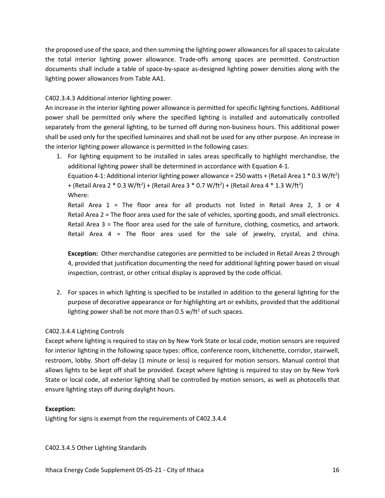the proposed use of the space, and then summing the lighting power allowancesfor all spaces to calculate the total interior lighting power allowance. Trade-offs among spaces are permitted. Construction documents shall include a table of space-by-space as-designed lighting power densities along with the lighting power allowances from Table AA1.

C402.3.4.3 Additional interior lighting power.

An increase in the interior lighting power allowance is permitted for specific lighting functions. Additional power shall be permitted only where the specified lighting is installed and automatically controlled separately from the general lighting, to be turned off during non-business hours. This additional power shall be used only for the specified luminaires and shall not be used for any other purpose. An increase in the interior lighting power allowance is permitted in the following cases:

1. For lighting equipment to be installed in sales areas specifically to highlight merchandise, the additional lighting power shall be determined in accordance with Equation 4-1.

Equation 4-1: Additional interior lighting power allowance = 250 watts + (Retail Area 1  $*$  0.3 W/ft<sup>2</sup>) + (Retail Area 2 \* 0.3 W/ft<sup>2</sup>) + (Retail Area 3 \* 0.7 W/ft<sup>2</sup>) + (Retail Area 4 \* 1.3 W/ft<sup>2</sup>) Where:

Retail Area 1 = The floor area for all products not listed in Retail Area 2, 3 or 4 Retail Area 2 = The floor area used for the sale of vehicles, sporting goods, and small electronics. Retail Area 3 = The floor area used for the sale of furniture, clothing, cosmetics, and artwork. Retail Area 4 = The floor area used for the sale of jewelry, crystal, and china.

**Exception:** Other merchandise categories are permitted to be included in Retail Areas 2 through 4, provided that justification documenting the need for additional lighting power based on visual inspection, contrast, or other critical display is approved by the code official.

2. For spaces in which lighting is specified to be installed in addition to the general lighting for the purpose of decorative appearance or for highlighting art or exhibits, provided that the additional lighting power shall be not more than  $0.5$  w/ft<sup>2</sup> of such spaces.

#### C402.3.4.4 Lighting Controls

Except where lighting is required to stay on by New York State or local code, motion sensors are required for interior lighting in the following space types: office, conference room, kitchenette, corridor, stairwell, restroom, lobby. Short off-delay (1 minute or less) is required for motion sensors. Manual control that allows lights to be kept off shall be provided. Except where lighting is required to stay on by New York State or local code, all exterior lighting shall be controlled by motion sensors, as well as photocells that ensure lighting stays off during daylight hours.

#### **Exception:**

Lighting for signs is exempt from the requirements of C402.3.4.4

C402.3.4.5 Other Lighting Standards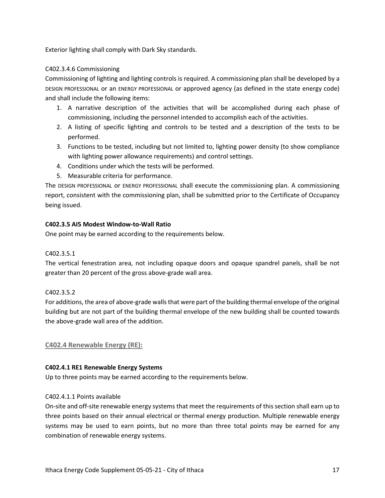Exterior lighting shall comply with Dark Sky standards.

#### C402.3.4.6 Commissioning

Commissioning of lighting and lighting controls is required. A commissioning plan shall be developed by a DESIGN PROFESSIONAL or an ENERGY PROFESSIONAL or approved agency (as defined in the state energy code) and shall include the following items:

- 1. A narrative description of the activities that will be accomplished during each phase of commissioning, including the personnel intended to accomplish each of the activities.
- 2. A listing of specific lighting and controls to be tested and a description of the tests to be performed.
- 3. Functions to be tested, including but not limited to, lighting power density (to show compliance with lighting power allowance requirements) and control settings.
- 4. Conditions under which the tests will be performed.
- 5. Measurable criteria for performance.

The DESIGN PROFESSIONAL or ENERGY PROFESSIONAL shall execute the commissioning plan. A commissioning report, consistent with the commissioning plan, shall be submitted prior to the Certificate of Occupancy being issued.

#### **C402.3.5 AI5 Modest Window-to-Wall Ratio**

One point may be earned according to the requirements below.

#### C402.3.5.1

The vertical fenestration area, not including opaque doors and opaque spandrel panels, shall be not greater than 20 percent of the gross above-grade wall area.

#### C402.3.5.2

For additions, the area of above-grade walls that were part of the building thermal envelope of the original building but are not part of the building thermal envelope of the new building shall be counted towards the above-grade wall area of the addition.

#### **C402.4 Renewable Energy (RE):**

#### **C402.4.1 RE1 Renewable Energy Systems**

Up to three points may be earned according to the requirements below.

#### C402.4.1.1 Points available

On-site and off-site renewable energy systems that meet the requirements of this section shall earn up to three points based on their annual electrical or thermal energy production. Multiple renewable energy systems may be used to earn points, but no more than three total points may be earned for any combination of renewable energy systems.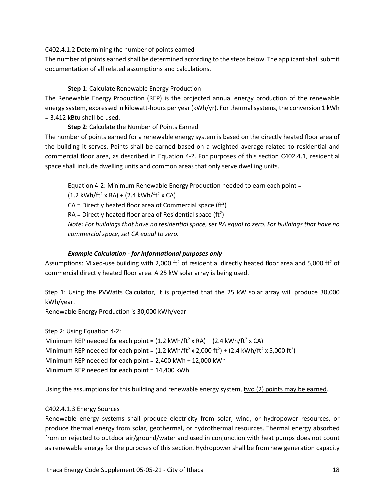#### C402.4.1.2 Determining the number of points earned

The number of points earned shall be determined according to the steps below. The applicant shall submit documentation of all related assumptions and calculations.

#### **Step 1**: Calculate Renewable Energy Production

The Renewable Energy Production (REP) is the projected annual energy production of the renewable energy system, expressed in kilowatt-hours per year (kWh/yr). For thermal systems, the conversion 1 kWh = 3.412 kBtu shall be used.

#### **Step 2**: Calculate the Number of Points Earned

The number of points earned for a renewable energy system is based on the directly heated floor area of the building it serves. Points shall be earned based on a weighted average related to residential and commercial floor area, as described in Equation 4-2. For purposes of this section C402.4.1, residential space shall include dwelling units and common areas that only serve dwelling units.

Equation 4-2: Minimum Renewable Energy Production needed to earn each point =  $(1.2 \text{ kWh/ft}^2 \times \text{RA}) + (2.4 \text{ kWh/ft}^2 \times \text{CA})$ CA = Directly heated floor area of Commercial space (ft<sup>2</sup>)  $RA =$  Directly heated floor area of Residential space (ft<sup>2</sup>) *Note: For buildings that have no residential space, set RA equal to zero. For buildings that have no commercial space, set CA equal to zero.*

#### *Example Calculation - for informational purposes only*

Assumptions: Mixed-use building with 2,000 ft<sup>2</sup> of residential directly heated floor area and 5,000 ft<sup>2</sup> of commercial directly heated floor area. A 25 kW solar array is being used.

Step 1: Using the PVWatts Calculator, it is projected that the 25 kW solar array will produce 30,000 kWh/year.

Renewable Energy Production is 30,000 kWh/year

Step 2: Using Equation 4-2:

Minimum REP needed for each point =  $(1.2 \text{ kWh/ft}^2 \times \text{RA}) + (2.4 \text{ kWh/ft}^2 \times \text{CA})$ Minimum REP needed for each point =  $(1.2 \text{ kWh/ft}^2 \times 2,000 \text{ ft}^2) + (2.4 \text{ kWh/ft}^2 \times 5,000 \text{ ft}^2)$ Minimum REP needed for each point = 2,400 kWh + 12,000 kWh Minimum REP needed for each point = 14,400 kWh

Using the assumptions for this building and renewable energy system, two (2) points may be earned.

#### C402.4.1.3 Energy Sources

Renewable energy systems shall produce electricity from solar, wind, or hydropower resources, or produce thermal energy from solar, geothermal, or hydrothermal resources. Thermal energy absorbed from or rejected to outdoor air/ground/water and used in conjunction with heat pumps does not count as renewable energy for the purposes of this section. Hydropower shall be from new generation capacity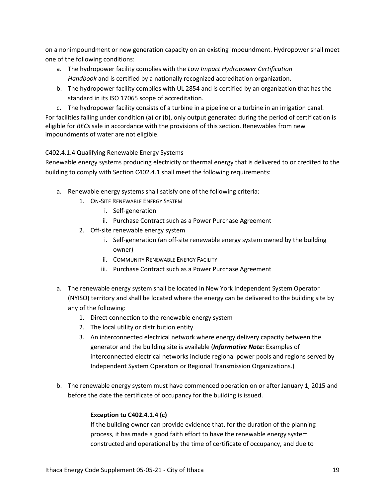on a nonimpoundment or new generation capacity on an existing impoundment. Hydropower shall meet one of the following conditions:

- a. The hydropower facility complies with the *Low Impact Hydropower Certification Handbook* and is certified by a nationally recognized accreditation organization.
- b. The hydropower facility complies with UL 2854 and is certified by an organization that has the standard in its ISO 17065 scope of accreditation.
- c. The hydropower facility consists of a turbine in a pipeline or a turbine in an irrigation canal.

For facilities falling under condition (a) or (b), only output generated during the period of certification is eligible for *RECs* sale in accordance with the provisions of this section. Renewables from new impoundments of water are not eligible.

#### C402.4.1.4 Qualifying Renewable Energy Systems

Renewable energy systems producing electricity or thermal energy that is delivered to or credited to the building to comply with Section C402.4.1 shall meet the following requirements:

- a. Renewable energy systems shall satisfy one of the following criteria:
	- 1. ON-SITE RENEWABLE ENERGY SYSTEM
		- i. Self-generation
		- ii. Purchase Contract such as a Power Purchase Agreement
	- 2. Off-site renewable energy system
		- i. Self-generation (an off-site renewable energy system owned by the building owner)
		- ii. COMMUNITY RENEWABLE ENERGY FACILITY
		- iii. Purchase Contract such as a Power Purchase Agreement
- a. The renewable energy system shall be located in New York Independent System Operator (NYISO) territory and shall be located where the energy can be delivered to the building site by any of the following:
	- 1. Direct connection to the renewable energy system
	- 2. The local utility or distribution entity
	- 3. An interconnected electrical network where energy delivery capacity between the generator and the building site is available (*Informative Note:* Examples of interconnected electrical networks include regional power pools and regions served by Independent System Operators or Regional Transmission Organizations.)
- b. The renewable energy system must have commenced operation on or after January 1, 2015 and before the date the certificate of occupancy for the building is issued.

#### **Exception to C402.4.1.4 (c)**

If the building owner can provide evidence that, for the duration of the planning process, it has made a good faith effort to have the renewable energy system constructed and operational by the time of certificate of occupancy, and due to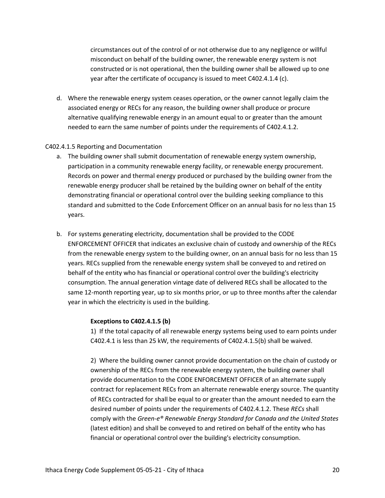circumstances out of the control of or not otherwise due to any negligence or willful misconduct on behalf of the building owner, the renewable energy system is not constructed or is not operational, then the building owner shall be allowed up to one year after the certificate of occupancy is issued to meet C402.4.1.4 (c).

d. Where the renewable energy system ceases operation, or the owner cannot legally claim the associated energy or RECs for any reason, the building owner shall produce or procure alternative qualifying renewable energy in an amount equal to or greater than the amount needed to earn the same number of points under the requirements of C402.4.1.2.

#### C402.4.1.5 Reporting and Documentation

- a. The building owner shall submit documentation of renewable energy system ownership, participation in a community renewable energy facility, or renewable energy procurement. Records on power and thermal energy produced or purchased by the building owner from the renewable energy producer shall be retained by the building owner on behalf of the entity demonstrating financial or operational control over the building seeking compliance to this standard and submitted to the Code Enforcement Officer on an annual basis for no less than 15 years.
- b. For systems generating electricity, documentation shall be provided to the CODE ENFORCEMENT OFFICER that indicates an exclusive chain of custody and ownership of the RECs from the renewable energy system to the building owner, on an annual basis for no less than 15 years. RECs supplied from the renewable energy system shall be conveyed to and retired on behalf of the entity who has financial or operational control over the building's electricity consumption. The annual generation vintage date of delivered RECs shall be allocated to the same 12-month reporting year, up to six months prior, or up to three months after the calendar year in which the electricity is used in the building.

#### **Exceptions to C402.4.1.5 (b)**

1) If the total capacity of all renewable energy systems being used to earn points under C402.4.1 is less than 25 kW, the requirements of C402.4.1.5(b) shall be waived.

2) Where the building owner cannot provide documentation on the chain of custody or ownership of the RECs from the renewable energy system, the building owner shall provide documentation to the CODE ENFORCEMENT OFFICER of an alternate supply contract for replacement RECs from an alternate renewable energy source. The quantity of RECs contracted for shall be equal to or greater than the amount needed to earn the desired number of points under the requirements of C402.4.1.2. These *RECs* shall comply with the *Green-e® Renewable Energy Standard for Canada and the United States* (latest edition) and shall be conveyed to and retired on behalf of the entity who has financial or operational control over the building's electricity consumption.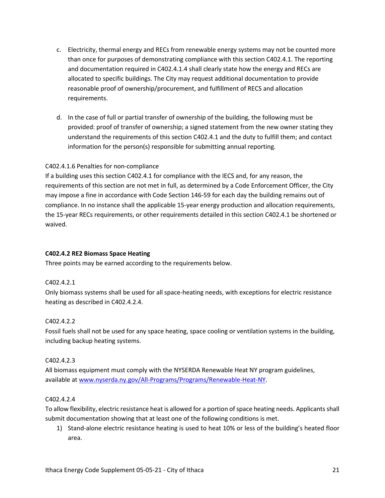- c. Electricity, thermal energy and RECs from renewable energy systems may not be counted more than once for purposes of demonstrating compliance with this section C402.4.1. The reporting and documentation required in C402.4.1.4 shall clearly state how the energy and RECs are allocated to specific buildings. The City may request additional documentation to provide reasonable proof of ownership/procurement, and fulfillment of RECS and allocation requirements.
- d. In the case of full or partial transfer of ownership of the building, the following must be provided: proof of transfer of ownership; a signed statement from the new owner stating they understand the requirements of this section C402.4.1 and the duty to fulfill them; and contact information for the person(s) responsible for submitting annual reporting.

#### C402.4.1.6 Penalties for non-compliance

If a building uses this section C402.4.1 for compliance with the IECS and, for any reason, the requirements of this section are not met in full, as determined by a Code Enforcement Officer, the City may impose a fine in accordance with Code Section 146-59 for each day the building remains out of compliance. In no instance shall the applicable 15-year energy production and allocation requirements, the 15-year RECs requirements, or other requirements detailed in this section C402.4.1 be shortened or waived.

#### **C402.4.2 RE2 Biomass Space Heating**

Three points may be earned according to the requirements below.

#### C402.4.2.1

Only biomass systems shall be used for all space-heating needs, with exceptions for electric resistance heating as described in C402.4.2.4.

#### C402.4.2.2

Fossil fuels shall not be used for any space heating, space cooling or ventilation systems in the building, including backup heating systems.

#### C402.4.2.3

All biomass equipment must comply with the NYSERDA Renewable Heat NY program guidelines, available at www.nyserda.ny.gov/All-Programs/Programs/Renewable-Heat-NY.

#### C402.4.2.4

To allow flexibility, electric resistance heat is allowed for a portion of space heating needs. Applicants shall submit documentation showing that at least one of the following conditions is met.

1) Stand-alone electric resistance heating is used to heat 10% or less of the building's heated floor area.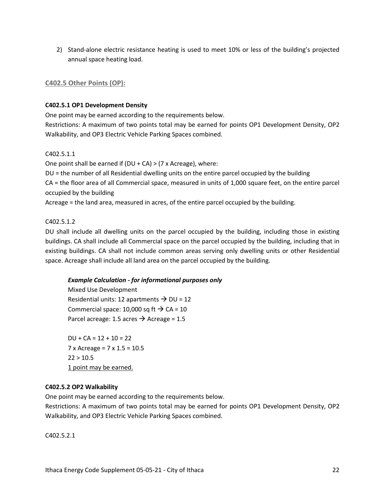2) Stand-alone electric resistance heating is used to meet 10% or less of the building's projected annual space heating load.

#### **C402.5 Other Points (OP):**

#### **C402.5.1 OP1 Development Density**

One point may be earned according to the requirements below. Restrictions: A maximum of two points total may be earned for points OP1 Development Density, OP2 Walkability, and OP3 Electric Vehicle Parking Spaces combined.

#### C402.5.1.1

One point shall be earned if (DU + CA) > (7 x Acreage), where:

DU = the number of all Residential dwelling units on the entire parcel occupied by the building

CA = the floor area of all Commercial space, measured in units of 1,000 square feet, on the entire parcel occupied by the building

Acreage = the land area, measured in acres, of the entire parcel occupied by the building.

#### C402.5.1.2

DU shall include all dwelling units on the parcel occupied by the building, including those in existing buildings. CA shall include all Commercial space on the parcel occupied by the building, including that in existing buildings. CA shall not include common areas serving only dwelling units or other Residential space. Acreage shall include all land area on the parcel occupied by the building.

#### *Example Calculation - for informational purposes only*

Mixed Use Development Residential units: 12 apartments  $\rightarrow$  DU = 12 Commercial space: 10,000 sq ft  $\rightarrow$  CA = 10 Parcel acreage: 1.5 acres  $\rightarrow$  Acreage = 1.5

 $DU + CA = 12 + 10 = 22$ 7 x Acreage = 7 x 1.5 = 10.5  $22 > 10.5$ 1 point may be earned.

#### **C402.5.2 OP2 Walkability**

One point may be earned according to the requirements below.

Restrictions: A maximum of two points total may be earned for points OP1 Development Density, OP2 Walkability, and OP3 Electric Vehicle Parking Spaces combined.

C402.5.2.1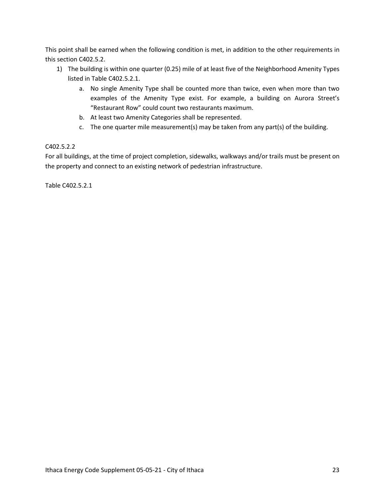This point shall be earned when the following condition is met, in addition to the other requirements in this section C402.5.2.

- 1) The building is within one quarter (0.25) mile of at least five of the Neighborhood Amenity Types listed in Table C402.5.2.1.
	- a. No single Amenity Type shall be counted more than twice, even when more than two examples of the Amenity Type exist. For example, a building on Aurora Street's "Restaurant Row" could count two restaurants maximum.
	- b. At least two Amenity Categories shall be represented.
	- c. The one quarter mile measurement(s) may be taken from any part(s) of the building.

#### C402.5.2.2

For all buildings, at the time of project completion, sidewalks, walkways and/or trails must be present on the property and connect to an existing network of pedestrian infrastructure.

Table C402.5.2.1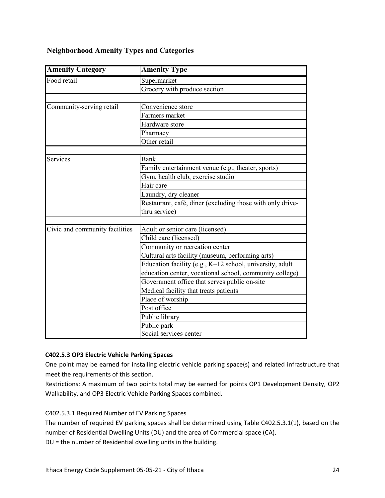#### **Neighborhood Amenity Types and Categories**

| <b>Amenity Category</b>        | <b>Amenity Type</b>                                       |  |  |
|--------------------------------|-----------------------------------------------------------|--|--|
| Food retail                    | Supermarket                                               |  |  |
|                                | Grocery with produce section                              |  |  |
|                                |                                                           |  |  |
| Community-serving retail       | Convenience store                                         |  |  |
|                                | Farmers market                                            |  |  |
|                                | Hardware store                                            |  |  |
|                                | Pharmacy                                                  |  |  |
|                                | Other retail                                              |  |  |
|                                |                                                           |  |  |
| Services                       | Bank                                                      |  |  |
|                                | Family entertainment venue (e.g., theater, sports)        |  |  |
|                                | Gym, health club, exercise studio                         |  |  |
|                                | $\overline{\text{Hair}}$ care                             |  |  |
|                                | Laundry, dry cleaner                                      |  |  |
|                                | Restaurant, café, diner (excluding those with only drive- |  |  |
|                                | thru service)                                             |  |  |
|                                |                                                           |  |  |
| Civic and community facilities | Adult or senior care (licensed)                           |  |  |
|                                | Child care (licensed)                                     |  |  |
|                                | Community or recreation center                            |  |  |
|                                | Cultural arts facility (museum, performing arts)          |  |  |
|                                | Education facility (e.g., K-12 school, university, adult  |  |  |
|                                | education center, vocational school, community college)   |  |  |
|                                | Government office that serves public on-site              |  |  |
|                                | Medical facility that treats patients                     |  |  |
|                                | Place of worship                                          |  |  |
|                                | Post office                                               |  |  |
|                                | Public library                                            |  |  |
|                                | Public park                                               |  |  |
|                                | Social services center                                    |  |  |

#### **C402.5.3 OP3 Electric Vehicle Parking Spaces**

One point may be earned for installing electric vehicle parking space(s) and related infrastructure that meet the requirements of this section.

Restrictions: A maximum of two points total may be earned for points OP1 Development Density, OP2 Walkability, and OP3 Electric Vehicle Parking Spaces combined.

#### C402.5.3.1 Required Number of EV Parking Spaces

The number of required EV parking spaces shall be determined using Table C402.5.3.1(1), based on the number of Residential Dwelling Units (DU) and the area of Commercial space (CA).

DU = the number of Residential dwelling units in the building.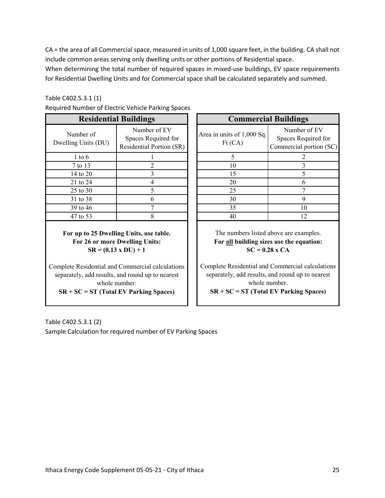CA = the area of all Commercial space, measured in units of 1,000 square feet, in the building. CA shall not include common areas serving only dwelling units or other portions of Residential space.

When determining the total number of required spaces in mixed-use buildings, EV space requirements for Residential Dwelling Units and for Commercial space shall be calculated separately and summed.

#### Table C402.5.3.1 (1)

|                                  | <b>Residential Buildings</b>                                    |                                      | <b>Commercial Buildings</b>          |
|----------------------------------|-----------------------------------------------------------------|--------------------------------------|--------------------------------------|
| Number of<br>Dwelling Units (DU) | Number of EV<br>Spaces Required for<br>Residential Portion (SR) | Area in units of 1,000 Sq.<br>Ft(CA) | Number<br>Spaces Req<br>Commercial p |
| $1$ to $6$                       |                                                                 | 5                                    | 2                                    |
| 7 to 13                          | 2                                                               | 10                                   | 3                                    |
| 14 to 20                         |                                                                 | 15                                   | 5                                    |
| 21 to 24                         |                                                                 | 20                                   | 6                                    |
| 25 to 30                         | 5                                                               | 25                                   | $\tau$                               |
| 31 to 38                         | 6                                                               | 30                                   | 9                                    |
| 39 to 46                         |                                                                 | 35                                   | 10                                   |
| 47 to 53                         | 8                                                               | 40                                   | 12                                   |
|                                  |                                                                 |                                      |                                      |

Required Number of Electric Vehicle Parking Spaces

**For up to 25 Dwelling Units, use table. For 26 or more Dwelling Units: SR = (0.13 x DU) + 1**

Complete Residential and Commercial calculations separately, add results, and round up to nearest whole number:

**SR + SC = ST (Total EV Parking Spaces)**

| umber of Electric Venicle Parking Spaces |                                                                 |  |                                      |                                                                |  |
|------------------------------------------|-----------------------------------------------------------------|--|--------------------------------------|----------------------------------------------------------------|--|
| <b>Residential Buildings</b>             |                                                                 |  | <b>Commercial Buildings</b>          |                                                                |  |
| iber of<br>Units (DU)                    | Number of EV<br>Spaces Required for<br>Residential Portion (SR) |  | Area in units of 1,000 Sq.<br>Ft(CA) | Number of EV<br>Spaces Required for<br>Commercial portion (SC) |  |
| to 6                                     |                                                                 |  |                                      |                                                                |  |
| o 13                                     |                                                                 |  | 10                                   |                                                                |  |
| to $20$                                  |                                                                 |  | 15                                   |                                                                |  |
| to $24$                                  |                                                                 |  | 20                                   | 6                                                              |  |
| to $30$                                  |                                                                 |  | 25                                   |                                                                |  |
| to $38$                                  |                                                                 |  | 30                                   | $\mathbf Q$                                                    |  |
| to $46$                                  |                                                                 |  | 35                                   | 10                                                             |  |
| to 53                                    |                                                                 |  | 40                                   | 12                                                             |  |

The numbers listed above are examples. **For all building sizes use the equation: SC = 0.28 x CA**

Complete Residential and Commercial calculations separately, add results, and round up to nearest whole number. **SR + SC = ST (Total EV Parking Spaces)**

Table C402.5.3.1 (2) Sample Calculation for required number of EV Parking Spaces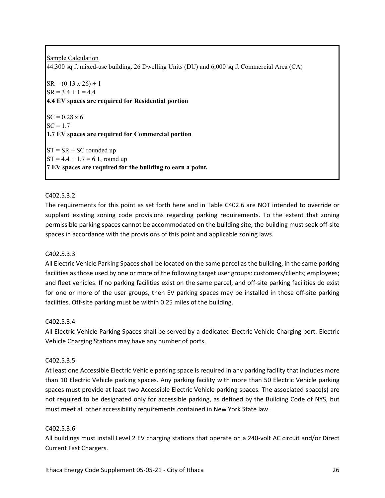Sample Calculation 44,300 sq ft mixed-use building. 26 Dwelling Units (DU) and 6,000 sq ft Commercial Area (CA)  $SR = (0.13 \times 26) + 1$  $SR = 3.4 + 1 = 4.4$ **4.4 EV spaces are required for Residential portion**  $SC = 0.28 \times 6$  $SC = 1.7$ **1.7 EV spaces are required for Commercial portion**  $ST = SR + SC$  rounded up  $ST = 4.4 + 1.7 = 6.1$ , round up **7 EV spaces are required for the building to earn a point.**

#### C402.5.3.2

The requirements for this point as set forth here and in Table C402.6 are NOT intended to override or supplant existing zoning code provisions regarding parking requirements. To the extent that zoning permissible parking spaces cannot be accommodated on the building site, the building must seek off-site spaces in accordance with the provisions of this point and applicable zoning laws.

#### C402.5.3.3

All Electric Vehicle Parking Spaces shall be located on the same parcel as the building, in the same parking facilities as those used by one or more of the following target user groups: customers/clients; employees; and fleet vehicles. If no parking facilities exist on the same parcel, and off-site parking facilities do exist for one or more of the user groups, then EV parking spaces may be installed in those off-site parking facilities. Off-site parking must be within 0.25 miles of the building.

#### C402.5.3.4

All Electric Vehicle Parking Spaces shall be served by a dedicated Electric Vehicle Charging port. Electric Vehicle Charging Stations may have any number of ports.

#### C402.5.3.5

At least one Accessible Electric Vehicle parking space is required in any parking facility that includes more than 10 Electric Vehicle parking spaces. Any parking facility with more than 50 Electric Vehicle parking spaces must provide at least two Accessible Electric Vehicle parking spaces. The associated space(s) are not required to be designated only for accessible parking, as defined by the Building Code of NYS, but must meet all other accessibility requirements contained in New York State law.

#### C402.5.3.6

All buildings must install Level 2 EV charging stations that operate on a 240-volt AC circuit and/or Direct Current Fast Chargers.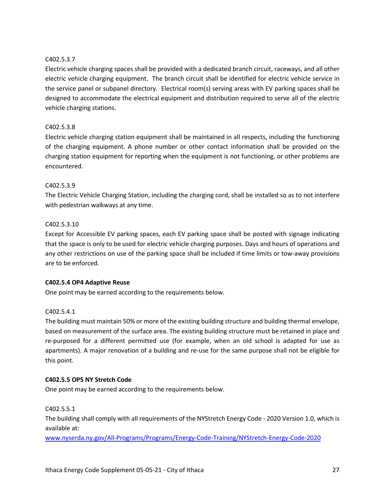#### C402.5.3.7

Electric vehicle charging spaces shall be provided with a dedicated branch circuit, raceways, and all other electric vehicle charging equipment. The branch circuit shall be identified for electric vehicle service in the service panel or subpanel directory. Electrical room(s) serving areas with EV parking spaces shall be designed to accommodate the electrical equipment and distribution required to serve all of the electric vehicle charging stations.

#### C402.5.3.8

Electric vehicle charging station equipment shall be maintained in all respects, including the functioning of the charging equipment. A phone number or other contact information shall be provided on the charging station equipment for reporting when the equipment is not functioning, or other problems are encountered.

#### C402.5.3.9

The Electric Vehicle Charging Station, including the charging cord, shall be installed so as to not interfere with pedestrian walkways at any time.

#### C402.5.3.10

Except for Accessible EV parking spaces, each EV parking space shall be posted with signage indicating that the space is only to be used for electric vehicle charging purposes. Days and hours of operations and any other restrictions on use of the parking space shall be included if time limits or tow-away provisions are to be enforced.

#### **C402.5.4 OP4 Adaptive Reuse**

One point may be earned according to the requirements below.

#### C402.5.4.1

The building must maintain 50% or more of the existing building structure and building thermal envelope, based on measurement of the surface area. The existing building structure must be retained in place and re-purposed for a different permitted use (for example, when an old school is adapted for use as apartments). A major renovation of a building and re-use for the same purpose shall not be eligible for this point.

#### **C402.5.5 OP5 NY Stretch Code**

One point may be earned according to the requirements below.

C402.5.5.1

The building shall comply with all requirements of the NYStretch Energy Code - 2020 Version 1.0, which is available at:

www.nyserda.ny.gov/All-Programs/Programs/Energy-Code-Training/NYStretch-Energy-Code-2020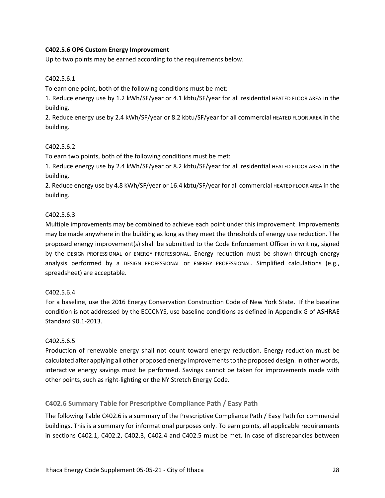#### **C402.5.6 OP6 Custom Energy Improvement**

Up to two points may be earned according to the requirements below.

#### C402.5.6.1

To earn one point, both of the following conditions must be met:

1. Reduce energy use by 1.2 kWh/SF/year or 4.1 kbtu/SF/year for all residential HEATED FLOOR AREA in the building.

2. Reduce energy use by 2.4 kWh/SF/year or 8.2 kbtu/SF/year for all commercial HEATED FLOOR AREA in the building.

#### C402.5.6.2

To earn two points, both of the following conditions must be met:

1. Reduce energy use by 2.4 kWh/SF/year or 8.2 kbtu/SF/year for all residential HEATED FLOOR AREA in the building.

2. Reduce energy use by 4.8 kWh/SF/year or 16.4 kbtu/SF/year for all commercial HEATED FLOOR AREA in the building.

#### C402.5.6.3

Multiple improvements may be combined to achieve each point under this improvement. Improvements may be made anywhere in the building as long as they meet the thresholds of energy use reduction. The proposed energy improvement(s) shall be submitted to the Code Enforcement Officer in writing, signed by the DESIGN PROFESSIONAL or ENERGY PROFESSIONAL. Energy reduction must be shown through energy analysis performed by a DESIGN PROFESSIONAL or ENERGY PROFESSIONAL. Simplified calculations (e.g., spreadsheet) are acceptable.

#### C402.5.6.4

For a baseline, use the 2016 Energy Conservation Construction Code of New York State. If the baseline condition is not addressed by the ECCCNYS, use baseline conditions as defined in Appendix G of ASHRAE Standard 90.1-2013.

#### C402.5.6.5

Production of renewable energy shall not count toward energy reduction. Energy reduction must be calculated after applying all other proposed energy improvements to the proposed design. In other words, interactive energy savings must be performed. Savings cannot be taken for improvements made with other points, such as right-lighting or the NY Stretch Energy Code.

#### **C402.6 Summary Table for Prescriptive Compliance Path / Easy Path**

The following Table C402.6 is a summary of the Prescriptive Compliance Path / Easy Path for commercial buildings. This is a summary for informational purposes only. To earn points, all applicable requirements in sections C402.1, C402.2, C402.3, C402.4 and C402.5 must be met. In case of discrepancies between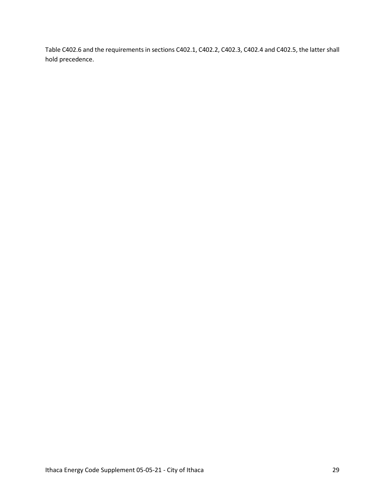Table C402.6 and the requirements in sections C402.1, C402.2, C402.3, C402.4 and C402.5, the latter shall hold precedence.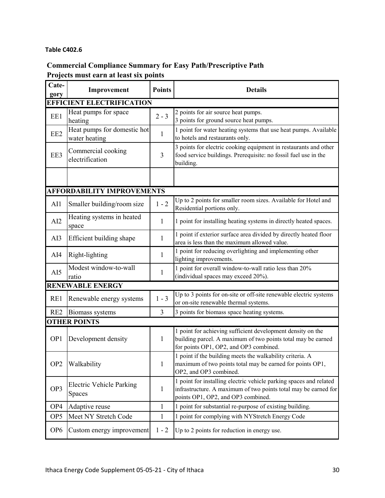#### **Table C402.6**

## **Commercial Compliance Summary for Easy Path/Prescriptive Path Projects must earn at least six points**

| Cate-<br>gory   | Improvement                                  | <b>Points</b>  | <b>Details</b>                                                                                                                                                              |
|-----------------|----------------------------------------------|----------------|-----------------------------------------------------------------------------------------------------------------------------------------------------------------------------|
|                 | <b>EFFICIENT ELECTRIFICATION</b>             |                |                                                                                                                                                                             |
| EE1             | Heat pumps for space<br>heating              | $2 - 3$        | 2 points for air source heat pumps.<br>3 points for ground source heat pumps.                                                                                               |
| EE <sub>2</sub> | Heat pumps for domestic hot<br>water heating | $\mathbf{1}$   | 1 point for water heating systems that use heat pumps. Available<br>to hotels and restaurants only.                                                                         |
| EE3             | Commercial cooking<br>electrification        | 3              | 3 points for electric cooking equipment in restaurants and other<br>food service buildings. Prerequisite: no fossil fuel use in the<br>building.                            |
|                 |                                              |                |                                                                                                                                                                             |
|                 | <b>AFFORDABILITY IMPROVEMENTS</b>            |                |                                                                                                                                                                             |
| AI1             | Smaller building/room size                   | $1 - 2$        | Up to 2 points for smaller room sizes. Available for Hotel and<br>Residential portions only.                                                                                |
| AI2             | Heating systems in heated<br>space           | 1              | 1 point for installing heating systems in directly heated spaces.                                                                                                           |
| AI3             | Efficient building shape                     | 1              | 1 point if exterior surface area divided by directly heated floor<br>area is less than the maximum allowed value.                                                           |
| AI4             | Right-lighting                               | 1              | 1 point for reducing overlighting and implementing other<br>lighting improvements.                                                                                          |
| AI5             | Modest window-to-wall<br>ratio               | $\mathbf{1}$   | 1 point for overall window-to-wall ratio less than 20%<br>(individual spaces may exceed 20%).                                                                               |
|                 | <b>RENEWABLE ENERGY</b>                      |                |                                                                                                                                                                             |
| RE1             | Renewable energy systems                     | $1 - 3$        | Up to 3 points for on-site or off-site renewable electric systems<br>or on-site renewable thermal systems.                                                                  |
| RE <sub>2</sub> | <b>Biomass systems</b>                       | $\overline{3}$ | 3 points for biomass space heating systems.                                                                                                                                 |
|                 | <b>OTHER POINTS</b>                          |                |                                                                                                                                                                             |
| OP <sub>1</sub> | Development density                          | 1              | 1 point for achieving sufficient development density on the<br>building parcel. A maximum of two points total may be earned<br>for points OP1, OP2, and OP3 combined.       |
| OP <sub>2</sub> | Walkability                                  | $\mathbf{1}$   | 1 point if the building meets the walkability criteria. A<br>maximum of two points total may be earned for points OP1,<br>OP2, and OP3 combined.                            |
| OP3             | <b>Electric Vehicle Parking</b><br>Spaces    | $\mathbf{1}$   | 1 point for installing electric vehicle parking spaces and related<br>infrastructure. A maximum of two points total may be earned for<br>points OP1, OP2, and OP3 combined. |
| OP4             | Adaptive reuse                               | $\mathbf{1}$   | 1 point for substantial re-purpose of existing building.                                                                                                                    |
| OP <sub>5</sub> | Meet NY Stretch Code                         | $\mathbf{1}$   | 1 point for complying with NYStretch Energy Code                                                                                                                            |
| OP <sub>6</sub> | Custom energy improvement                    | $1 - 2$        | Up to 2 points for reduction in energy use.                                                                                                                                 |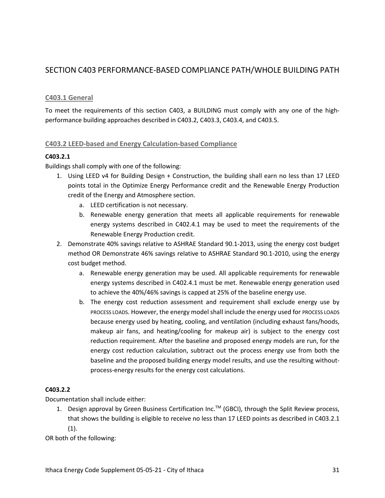## SECTION C403 PERFORMANCE-BASED COMPLIANCE PATH/WHOLE BUILDING PATH

#### **C403.1 General**

To meet the requirements of this section C403, a BUILDING must comply with any one of the highperformance building approaches described in C403.2, C403.3, C403.4, and C403.5.

#### **C403.2 LEED-based and Energy Calculation-based Compliance**

#### **C403.2.1**

Buildings shall comply with one of the following:

- 1. Using LEED v4 for Building Design + Construction, the building shall earn no less than 17 LEED points total in the Optimize Energy Performance credit and the Renewable Energy Production credit of the Energy and Atmosphere section.
	- a. LEED certification is not necessary.
	- b. Renewable energy generation that meets all applicable requirements for renewable energy systems described in C402.4.1 may be used to meet the requirements of the Renewable Energy Production credit.
- 2. Demonstrate 40% savings relative to ASHRAE Standard 90.1-2013, using the energy cost budget method OR Demonstrate 46% savings relative to ASHRAE Standard 90.1-2010, using the energy cost budget method.
	- a. Renewable energy generation may be used. All applicable requirements for renewable energy systems described in C402.4.1 must be met. Renewable energy generation used to achieve the 40%/46% savings is capped at 25% of the baseline energy use.
	- b. The energy cost reduction assessment and requirement shall exclude energy use by PROCESS LOADS. However, the energy model shall include the energy used for PROCESS LOADS because energy used by heating, cooling, and ventilation (including exhaust fans/hoods, makeup air fans, and heating/cooling for makeup air) is subject to the energy cost reduction requirement. After the baseline and proposed energy models are run, for the energy cost reduction calculation, subtract out the process energy use from both the baseline and the proposed building energy model results, and use the resulting withoutprocess-energy results for the energy cost calculations.

#### **C403.2.2**

Documentation shall include either:

1. Design approval by Green Business Certification Inc.<sup>TM</sup> (GBCI), through the Split Review process, that shows the building is eligible to receive no less than 17 LEED points as described in C403.2.1  $(1).$ 

OR both of the following: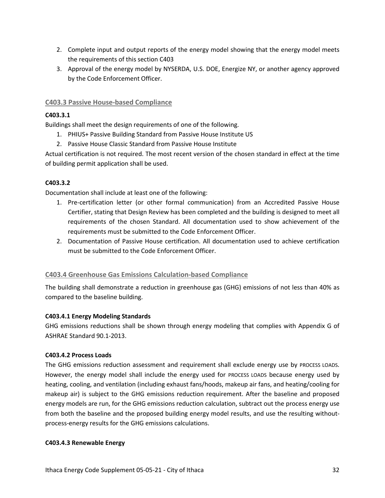- 2. Complete input and output reports of the energy model showing that the energy model meets the requirements of this section C403
- 3. Approval of the energy model by NYSERDA, U.S. DOE, Energize NY, or another agency approved by the Code Enforcement Officer.

#### **C403.3 Passive House-based Compliance**

#### **C403.3.1**

Buildings shall meet the design requirements of one of the following.

- 1. PHIUS+ Passive Building Standard from Passive House Institute US
- 2. Passive House Classic Standard from Passive House Institute

Actual certification is not required. The most recent version of the chosen standard in effect at the time of building permit application shall be used.

#### **C403.3.2**

Documentation shall include at least one of the following:

- 1. Pre-certification letter (or other formal communication) from an Accredited Passive House Certifier, stating that Design Review has been completed and the building is designed to meet all requirements of the chosen Standard. All documentation used to show achievement of the requirements must be submitted to the Code Enforcement Officer.
- 2. Documentation of Passive House certification. All documentation used to achieve certification must be submitted to the Code Enforcement Officer.

#### **C403.4 Greenhouse Gas Emissions Calculation-based Compliance**

The building shall demonstrate a reduction in greenhouse gas (GHG) emissions of not less than 40% as compared to the baseline building.

#### **C403.4.1 Energy Modeling Standards**

GHG emissions reductions shall be shown through energy modeling that complies with Appendix G of ASHRAE Standard 90.1-2013.

#### **C403.4.2 Process Loads**

The GHG emissions reduction assessment and requirement shall exclude energy use by PROCESS LOADS. However, the energy model shall include the energy used for PROCESS LOADS because energy used by heating, cooling, and ventilation (including exhaust fans/hoods, makeup air fans, and heating/cooling for makeup air) is subject to the GHG emissions reduction requirement. After the baseline and proposed energy models are run, for the GHG emissions reduction calculation, subtract out the process energy use from both the baseline and the proposed building energy model results, and use the resulting withoutprocess-energy results for the GHG emissions calculations.

#### **C403.4.3 Renewable Energy**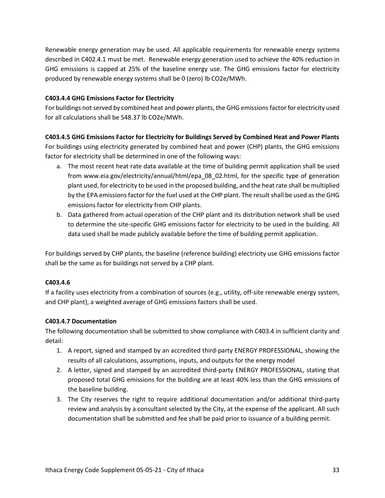Renewable energy generation may be used. All applicable requirements for renewable energy systems described in C402.4.1 must be met. Renewable energy generation used to achieve the 40% reduction in GHG emissions is capped at 25% of the baseline energy use. The GHG emissions factor for electricity produced by renewable energy systems shall be 0 (zero) lb CO2e/MWh.

#### **C403.4.4 GHG Emissions Factor for Electricity**

For buildings not served by combined heat and power plants, the GHG emissions factor for electricity used for all calculations shall be 548.37 lb CO2e/MWh.

#### **C403.4.5 GHG Emissions Factor for Electricity for Buildings Served by Combined Heat and Power Plants**

For buildings using electricity generated by combined heat and power (CHP) plants, the GHG emissions factor for electricity shall be determined in one of the following ways:

- a. The most recent heat rate data available at the time of building permit application shall be used from www.eia.gov/electricity/annual/html/epa\_08\_02.html, for the specific type of generation plant used, for electricity to be used in the proposed building, and the heat rate shall be multiplied by the EPA emissions factor for the fuel used at the CHP plant. The result shall be used as the GHG emissions factor for electricity from CHP plants.
- b. Data gathered from actual operation of the CHP plant and its distribution network shall be used to determine the site-specific GHG emissions factor for electricity to be used in the building. All data used shall be made publicly available before the time of building permit application.

For buildings served by CHP plants, the baseline (reference building) electricity use GHG emissions factor shall be the same as for buildings not served by a CHP plant.

#### **C403.4.6**

If a facility uses electricity from a combination of sources (e.g., utility, off-site renewable energy system, and CHP plant), a weighted average of GHG emissions factors shall be used.

#### **C403.4.7 Documentation**

The following documentation shall be submitted to show compliance with C403.4 in sufficient clarity and detail:

- 1. A report, signed and stamped by an accredited third-party ENERGY PROFESSIONAL, showing the results of all calculations, assumptions, inputs, and outputs for the energy model
- 2. A letter, signed and stamped by an accredited third-party ENERGY PROFESSIONAL, stating that proposed total GHG emissions for the building are at least 40% less than the GHG emissions of the baseline building.
- 3. The City reserves the right to require additional documentation and/or additional third-party review and analysis by a consultant selected by the City, at the expense of the applicant. All such documentation shall be submitted and fee shall be paid prior to issuance of a building permit.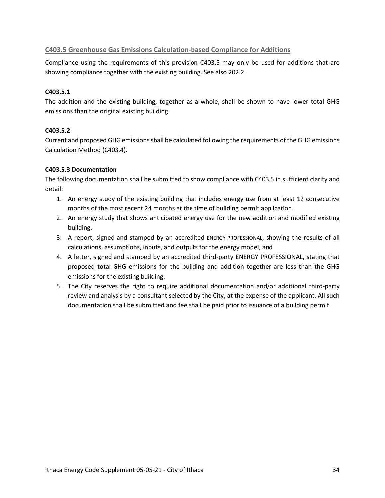#### **C403.5 Greenhouse Gas Emissions Calculation-based Compliance for Additions**

Compliance using the requirements of this provision C403.5 may only be used for additions that are showing compliance together with the existing building. See also 202.2.

#### **C403.5.1**

The addition and the existing building, together as a whole, shall be shown to have lower total GHG emissions than the original existing building.

#### **C403.5.2**

Current and proposed GHG emissions shall be calculated following the requirements of the GHG emissions Calculation Method (C403.4).

#### **C403.5.3 Documentation**

The following documentation shall be submitted to show compliance with C403.5 in sufficient clarity and detail:

- 1. An energy study of the existing building that includes energy use from at least 12 consecutive months of the most recent 24 months at the time of building permit application.
- 2. An energy study that shows anticipated energy use for the new addition and modified existing building.
- 3. A report, signed and stamped by an accredited ENERGY PROFESSIONAL, showing the results of all calculations, assumptions, inputs, and outputs for the energy model, and
- 4. A letter, signed and stamped by an accredited third-party ENERGY PROFESSIONAL, stating that proposed total GHG emissions for the building and addition together are less than the GHG emissions for the existing building.
- 5. The City reserves the right to require additional documentation and/or additional third-party review and analysis by a consultant selected by the City, at the expense of the applicant. All such documentation shall be submitted and fee shall be paid prior to issuance of a building permit.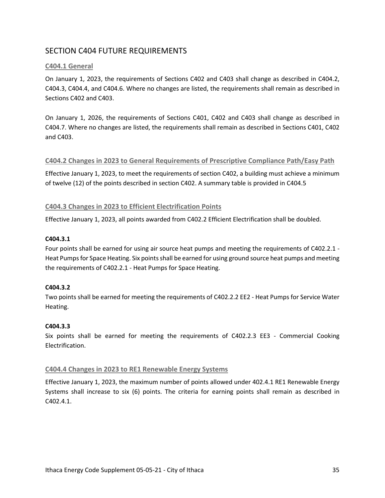## SECTION C404 FUTURE REQUIREMENTS

#### **C404.1 General**

On January 1, 2023, the requirements of Sections C402 and C403 shall change as described in C404.2, C404.3, C404.4, and C404.6. Where no changes are listed, the requirements shall remain as described in Sections C402 and C403.

On January 1, 2026, the requirements of Sections C401, C402 and C403 shall change as described in C404.7. Where no changes are listed, the requirements shall remain as described in Sections C401, C402 and C403.

#### **C404.2 Changes in 2023 to General Requirements of Prescriptive Compliance Path/Easy Path**

Effective January 1, 2023, to meet the requirements of section C402, a building must achieve a minimum of twelve (12) of the points described in section C402. A summary table is provided in C404.5

#### **C404.3 Changes in 2023 to Efficient Electrification Points**

Effective January 1, 2023, all points awarded from C402.2 Efficient Electrification shall be doubled.

#### **C404.3.1**

Four points shall be earned for using air source heat pumps and meeting the requirements of C402.2.1 - Heat Pumps for Space Heating. Six points shall be earned for using ground source heat pumps and meeting the requirements of C402.2.1 - Heat Pumps for Space Heating.

#### **C404.3.2**

Two points shall be earned for meeting the requirements of C402.2.2 EE2 - Heat Pumps for Service Water Heating.

#### **C404.3.3**

Six points shall be earned for meeting the requirements of C402.2.3 EE3 - Commercial Cooking Electrification.

#### **C404.4 Changes in 2023 to RE1 Renewable Energy Systems**

Effective January 1, 2023, the maximum number of points allowed under 402.4.1 RE1 Renewable Energy Systems shall increase to six (6) points. The criteria for earning points shall remain as described in C402.4.1.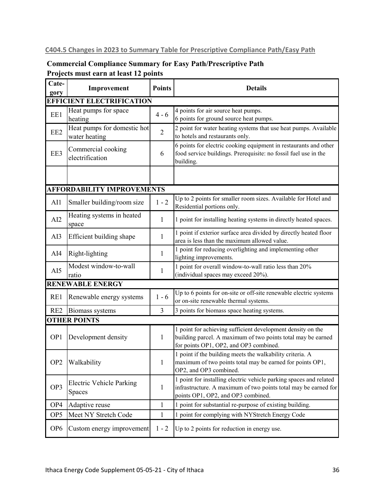## **C404.5 Changes in 2023 to Summary Table for Prescriptive Compliance Path/Easy Path**

## **Commercial Compliance Summary for Easy Path/Prescriptive Path Projects must earn at least 12 points**

| Cate-<br>gory   | Improvement                                  | <b>Points</b>  | <b>Details</b>                                                                                                                                                              |
|-----------------|----------------------------------------------|----------------|-----------------------------------------------------------------------------------------------------------------------------------------------------------------------------|
|                 | <b>EFFICIENT ELECTRIFICATION</b>             |                |                                                                                                                                                                             |
| EE1             | Heat pumps for space<br>heating              | $4 - 6$        | 4 points for air source heat pumps.<br>6 points for ground source heat pumps.                                                                                               |
| EE <sub>2</sub> | Heat pumps for domestic hot<br>water heating | $\overline{2}$ | 2 point for water heating systems that use heat pumps. Available<br>to hotels and restaurants only.                                                                         |
| EE3             | Commercial cooking<br>electrification        | 6              | 6 points for electric cooking equipment in restaurants and other<br>food service buildings. Prerequisite: no fossil fuel use in the<br>building.                            |
|                 |                                              |                |                                                                                                                                                                             |
|                 | <b>AFFORDABILITY IMPROVEMENTS</b>            |                |                                                                                                                                                                             |
| AI1             | Smaller building/room size                   | $1 - 2$        | Up to 2 points for smaller room sizes. Available for Hotel and<br>Residential portions only.                                                                                |
| AI2             | Heating systems in heated<br>space           | 1              | 1 point for installing heating systems in directly heated spaces.                                                                                                           |
| AI3             | Efficient building shape                     | $\mathbf{1}$   | 1 point if exterior surface area divided by directly heated floor<br>area is less than the maximum allowed value.                                                           |
| AI4             | Right-lighting                               | 1              | 1 point for reducing overlighting and implementing other<br>lighting improvements.                                                                                          |
| AI5             | Modest window-to-wall<br>ratio               | 1              | 1 point for overall window-to-wall ratio less than 20%<br>(individual spaces may exceed 20%).                                                                               |
|                 | <b>RENEWABLE ENERGY</b>                      |                |                                                                                                                                                                             |
| RE1             | Renewable energy systems                     | $1 - 6$        | Up to 6 points for on-site or off-site renewable electric systems<br>or on-site renewable thermal systems.                                                                  |
| RE <sub>2</sub> | Biomass systems                              | 3              | 3 points for biomass space heating systems.                                                                                                                                 |
|                 | <b>OTHER POINTS</b>                          |                |                                                                                                                                                                             |
| OP <sub>1</sub> | Development density                          | 1              | 1 point for achieving sufficient development density on the<br>building parcel. A maximum of two points total may be earned<br>for points OP1, OP2, and OP3 combined.       |
| OP <sub>2</sub> | Walkability                                  | $\mathbf{1}$   | 1 point if the building meets the walkability criteria. A<br>maximum of two points total may be earned for points OP1,<br>OP2, and OP3 combined.                            |
| OP3             | <b>Electric Vehicle Parking</b><br>Spaces    | $\mathbf{1}$   | 1 point for installing electric vehicle parking spaces and related<br>infrastructure. A maximum of two points total may be earned for<br>points OP1, OP2, and OP3 combined. |
| OP4             | Adaptive reuse                               | $\mathbf{1}$   | 1 point for substantial re-purpose of existing building.                                                                                                                    |
| OP <sub>5</sub> | Meet NY Stretch Code                         | $\mathbf{1}$   | 1 point for complying with NYStretch Energy Code                                                                                                                            |
| OP <sub>6</sub> | Custom energy improvement                    | $1 - 2$        | Up to 2 points for reduction in energy use.                                                                                                                                 |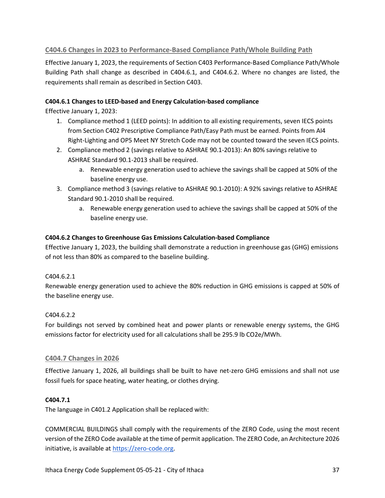## **C404.6 Changes in 2023 to Performance-Based Compliance Path/Whole Building Path**

Effective January 1, 2023, the requirements of Section C403 Performance-Based Compliance Path/Whole Building Path shall change as described in C404.6.1, and C404.6.2. Where no changes are listed, the requirements shall remain as described in Section C403.

## **C404.6.1 Changes to LEED-based and Energy Calculation-based compliance**

Effective January 1, 2023:

- 1. Compliance method 1 (LEED points): In addition to all existing requirements, seven IECS points from Section C402 Prescriptive Compliance Path/Easy Path must be earned. Points from AI4 Right-Lighting and OP5 Meet NY Stretch Code may not be counted toward the seven IECS points.
- 2. Compliance method 2 (savings relative to ASHRAE 90.1-2013): An 80% savings relative to ASHRAE Standard 90.1-2013 shall be required.
	- a. Renewable energy generation used to achieve the savings shall be capped at 50% of the baseline energy use.
- 3. Compliance method 3 (savings relative to ASHRAE 90.1-2010): A 92% savings relative to ASHRAE Standard 90.1-2010 shall be required.
	- a. Renewable energy generation used to achieve the savings shall be capped at 50% of the baseline energy use.

## **C404.6.2 Changes to Greenhouse Gas Emissions Calculation-based Compliance**

Effective January 1, 2023, the building shall demonstrate a reduction in greenhouse gas (GHG) emissions of not less than 80% as compared to the baseline building.

## C404.6.2.1

Renewable energy generation used to achieve the 80% reduction in GHG emissions is capped at 50% of the baseline energy use.

## C404.6.2.2

For buildings not served by combined heat and power plants or renewable energy systems, the GHG emissions factor for electricity used for all calculations shall be 295.9 lb CO2e/MWh.

## **C404.7 Changes in 2026**

Effective January 1, 2026, all buildings shall be built to have net-zero GHG emissions and shall not use fossil fuels for space heating, water heating, or clothes drying.

## **C404.7.1**

The language in C401.2 Application shall be replaced with:

COMMERCIAL BUILDINGS shall comply with the requirements of the ZERO Code, using the most recent version of the ZERO Code available at the time of permit application. The ZERO Code, an Architecture 2026 initiative, is available at https://zero-code.org.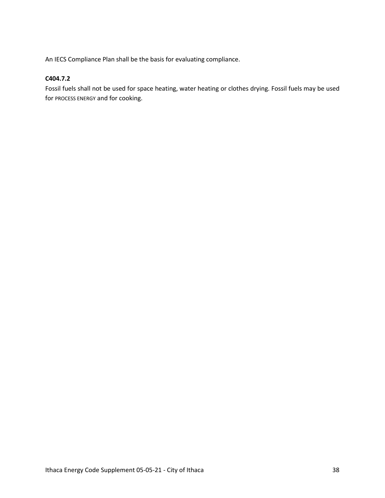An IECS Compliance Plan shall be the basis for evaluating compliance.

## **C404.7.2**

Fossil fuels shall not be used for space heating, water heating or clothes drying. Fossil fuels may be used for PROCESS ENERGY and for cooking.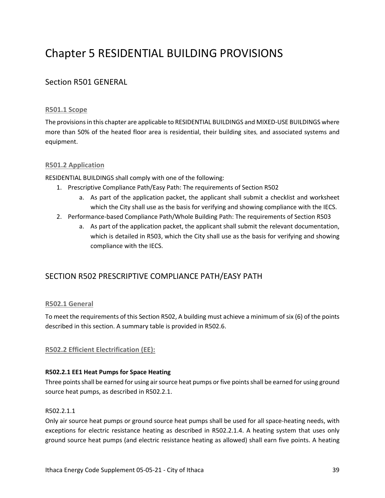# Chapter 5 RESIDENTIAL BUILDING PROVISIONS

## Section R501 GENERAL

## **R501.1 Scope**

The provisions in this chapter are applicable to RESIDENTIAL BUILDINGS and MIXED-USE BUILDINGS where more than 50% of the heated floor area is residential, their building sites, and associated systems and equipment.

## **R501.2 Application**

RESIDENTIAL BUILDINGS shall comply with one of the following:

- 1. Prescriptive Compliance Path/Easy Path: The requirements of Section R502
	- a. As part of the application packet, the applicant shall submit a checklist and worksheet which the City shall use as the basis for verifying and showing compliance with the IECS.
- 2. Performance-based Compliance Path/Whole Building Path: The requirements of Section R503
	- a. As part of the application packet, the applicant shall submit the relevant documentation, which is detailed in R503, which the City shall use as the basis for verifying and showing compliance with the IECS.

## SECTION R502 PRESCRIPTIVE COMPLIANCE PATH/EASY PATH

## **R502.1 General**

To meet the requirements of this Section R502, A building must achieve a minimum of six (6) of the points described in this section. A summary table is provided in R502.6.

## **R502.2 Efficient Electrification (EE):**

#### **R502.2.1 EE1 Heat Pumps for Space Heating**

Three points shall be earned for using air source heat pumps or five points shall be earned for using ground source heat pumps, as described in R502.2.1.

#### R502.2.1.1

Only air source heat pumps or ground source heat pumps shall be used for all space-heating needs, with exceptions for electric resistance heating as described in R502.2.1.4. A heating system that uses only ground source heat pumps (and electric resistance heating as allowed) shall earn five points. A heating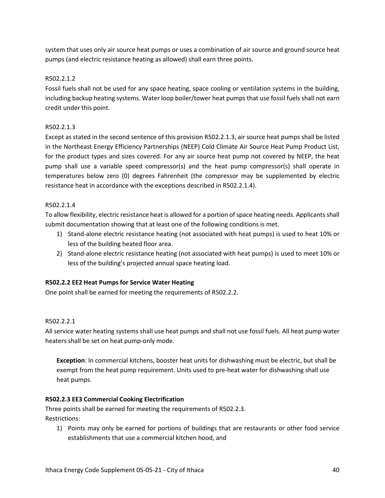system that uses only air source heat pumps or uses a combination of air source and ground source heat pumps (and electric resistance heating as allowed) shall earn three points.

## R502.2.1.2

Fossil fuels shall not be used for any space heating, space cooling or ventilation systems in the building, including backup heating systems. Water loop boiler/tower heat pumps that use fossil fuels shall not earn credit under this point.

## R502.2.1.3

Except as stated in the second sentence of this provision R502.2.1.3, air source heat pumps shall be listed in the Northeast Energy Efficiency Partnerships (NEEP) Cold Climate Air Source Heat Pump Product List, for the product types and sizes covered. For any air source heat pump not covered by NEEP, the heat pump shall use a variable speed compressor(s) and the heat pump compressor(s) shall operate in temperatures below zero (0) degrees Fahrenheit (the compressor may be supplemented by electric resistance heat in accordance with the exceptions described in R502.2.1.4).

## R502.2.1.4

To allow flexibility, electric resistance heat is allowed for a portion of space heating needs. Applicants shall submit documentation showing that at least one of the following conditions is met.

- 1) Stand-alone electric resistance heating (not associated with heat pumps) is used to heat 10% or less of the building heated floor area.
- 2) Stand-alone electric resistance heating (not associated with heat pumps) is used to meet 10% or less of the building's projected annual space heating load.

## **R502.2.2 EE2 Heat Pumps for Service Water Heating**

One point shall be earned for meeting the requirements of R502.2.2.

## R502.2.2.1

All service water heating systems shall use heat pumps and shall not use fossil fuels. All heat pump water heaters shall be set on heat pump-only mode.

**Exception**: In commercial kitchens, booster heat units for dishwashing must be electric, but shall be exempt from the heat pump requirement. Units used to pre-heat water for dishwashing shall use heat pumps.

## **R502.2.3 EE3 Commercial Cooking Electrification**

Three points shall be earned for meeting the requirements of R502.2.3. Restrictions:

1) Points may only be earned for portions of buildings that are restaurants or other food service establishments that use a commercial kitchen hood, and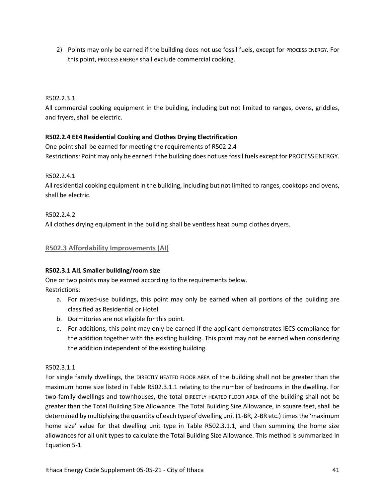2) Points may only be earned if the building does not use fossil fuels, except for PROCESS ENERGY. For this point, PROCESS ENERGY shall exclude commercial cooking.

## R502.2.3.1

All commercial cooking equipment in the building, including but not limited to ranges, ovens, griddles, and fryers, shall be electric.

## **R502.2.4 EE4 Residential Cooking and Clothes Drying Electrification**

One point shall be earned for meeting the requirements of R502.2.4 Restrictions: Point may only be earned if the building does not use fossil fuels except for PROCESS ENERGY.

R502.2.4.1

All residential cooking equipment in the building, including but not limited to ranges, cooktops and ovens, shall be electric.

R502.2.4.2 All clothes drying equipment in the building shall be ventless heat pump clothes dryers.

## **R502.3 Affordability Improvements (AI)**

#### **R502.3.1 AI1 Smaller building/room size**

One or two points may be earned according to the requirements below. Restrictions:

- a. For mixed-use buildings, this point may only be earned when all portions of the building are classified as Residential or Hotel.
- b. Dormitories are not eligible for this point.
- c. For additions, this point may only be earned if the applicant demonstrates IECS compliance for the addition together with the existing building. This point may not be earned when considering the addition independent of the existing building.

#### R502.3.1.1

For single family dwellings, the DIRECTLY HEATED FLOOR AREA of the building shall not be greater than the maximum home size listed in Table R502.3.1.1 relating to the number of bedrooms in the dwelling. For two-family dwellings and townhouses, the total DIRECTLY HEATED FLOOR AREA of the building shall not be greater than the Total Building Size Allowance. The Total Building Size Allowance, in square feet, shall be determined by multiplying the quantity of each type of dwelling unit (1-BR, 2-BR etc.) times the 'maximum home size' value for that dwelling unit type in Table R502.3.1.1, and then summing the home size allowances for all unit types to calculate the Total Building Size Allowance. This method is summarized in Equation 5-1.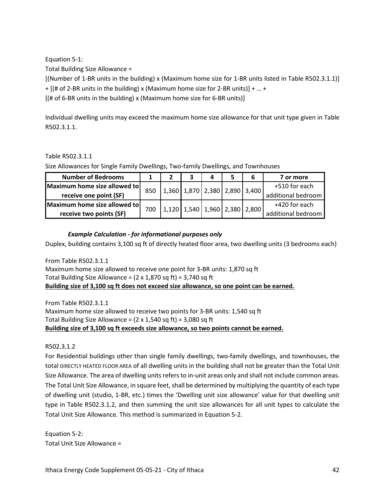Equation 5-1:

Total Building Size Allowance =

[(Number of 1-BR units in the building) x (Maximum home size for 1-BR units listed in Table R502.3.1.1)] + [(# of 2-BR units in the building) x (Maximum home size for 2-BR units)] + … +

 $[(# of 6-BR units in the building) x (Maximum home size for 6-BR units)]$ 

Individual dwelling units may exceed the maximum home size allowance for that unit type given in Table R502.3.1.1.

## Table R502.3.1.1

Size Allowances for Single Family Dwellings, Two-family Dwellings, and Townhouses

| <b>Number of Bedrooms</b>    |     |                               |  |                               | 7 or more          |
|------------------------------|-----|-------------------------------|--|-------------------------------|--------------------|
| Maximum home size allowed to | 850 |                               |  | 1,360 1,870 2,380 2,890 3,400 | +510 for each      |
| receive one point (SF)       |     |                               |  |                               | additional bedroom |
| Maximum home size allowed to |     | 1,120 1,540 1,960 2,380 2,800 |  |                               | +420 for each      |
| receive two points (SF)      | 700 |                               |  |                               | additional bedroom |

## *Example Calculation - for informational purposes only*

Duplex, building contains 3,100 sq ft of directly heated floor area, two dwelling units (3 bedrooms each)

From Table R502.3.1.1 Maximum home size allowed to receive one point for 3-BR units: 1,870 sq ft Total Building Size Allowance =  $(2 \times 1,870 \text{ sq ft}) = 3,740 \text{ sq ft}$ **Building size of 3,100 sq ft does not exceed size allowance, so one point can be earned.**

From Table R502.3.1.1 Maximum home size allowed to receive two points for 3-BR units: 1,540 sq ft Total Building Size Allowance =  $(2 \times 1,540 \text{ sq ft}) = 3,080 \text{ sq ft}$ **Building size of 3,100 sq ft exceeds size allowance, so two points cannot be earned.** 

R502.3.1.2

For Residential buildings other than single family dwellings, two-family dwellings, and townhouses, the total DIRECTLY HEATED FLOOR AREA of all dwelling units in the building shall not be greater than the Total Unit Size Allowance. The area of dwelling units refers to in-unit areas only and shall not include common areas. The Total Unit Size Allowance, in square feet, shall be determined by multiplying the quantity of each type of dwelling unit (studio, 1-BR, etc.) times the 'Dwelling unit size allowance' value for that dwelling unit type in Table R502.3.1.2, and then summing the unit size allowances for all unit types to calculate the Total Unit Size Allowance. This method is summarized in Equation 5-2.

Equation 5-2: Total Unit Size Allowance =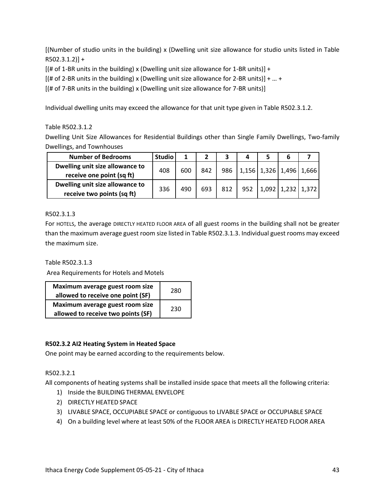[(Number of studio units in the building) x (Dwelling unit size allowance for studio units listed in Table  $R502.3.1.2]$ ] +

 $[(# of 1-BR units in the building) x (Dwelling unit size allowed for 1-BR units)] +$ 

[(# of 2-BR units in the building) x (Dwelling unit size allowance for 2-BR units)] + … +

[(# of 7-BR units in the building) x (Dwelling unit size allowance for 7-BR units)]

Individual dwelling units may exceed the allowance for that unit type given in Table R502.3.1.2.

## Table R502.3.1.2

Dwelling Unit Size Allowances for Residential Buildings other than Single Family Dwellings, Two-family Dwellings, and Townhouses

| <b>Number of Bedrooms</b>       | <b>Studio</b> |     |     |     |  |                                     |  |
|---------------------------------|---------------|-----|-----|-----|--|-------------------------------------|--|
| Dwelling unit size allowance to | 408           | 600 | 842 |     |  | 986   1,156   1,326   1,496   1,666 |  |
| receive one point (sq ft)       |               |     |     |     |  |                                     |  |
| Dwelling unit size allowance to | 336           | 490 | 693 | 812 |  | 952   1,092   1,232   1,372         |  |
| receive two points (sq ft)      |               |     |     |     |  |                                     |  |

## R502.3.1.3

For HOTELS, the average DIRECTLY HEATED FLOOR AREA of all guest rooms in the building shall not be greater than the maximum average guest room size listed in Table R502.3.1.3. Individual guest rooms may exceed the maximum size.

Table R502.3.1.3

Area Requirements for Hotels and Motels

| Maximum average guest room size    | 280 |  |
|------------------------------------|-----|--|
| allowed to receive one point (SF)  |     |  |
| Maximum average guest room size    | 230 |  |
| allowed to receive two points (SF) |     |  |

## **R502.3.2 AI2 Heating System in Heated Space**

One point may be earned according to the requirements below.

## R502.3.2.1

All components of heating systems shall be installed inside space that meets all the following criteria:

- 1) Inside the BUILDING THERMAL ENVELOPE
- 2) DIRECTLY HEATED SPACE
- 3) LIVABLE SPACE, OCCUPIABLE SPACE or contiguous to LIVABLE SPACE or OCCUPIABLE SPACE
- 4) On a building level where at least 50% of the FLOOR AREA is DIRECTLY HEATED FLOOR AREA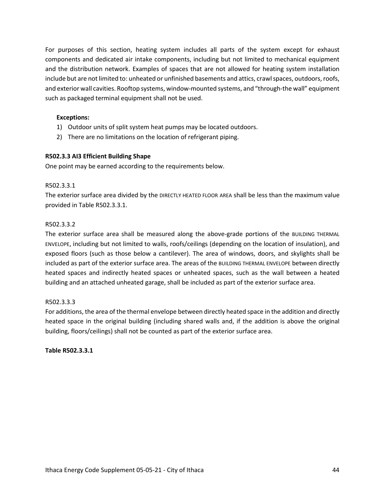For purposes of this section, heating system includes all parts of the system except for exhaust components and dedicated air intake components, including but not limited to mechanical equipment and the distribution network. Examples of spaces that are not allowed for heating system installation include but are not limited to: unheated or unfinished basements and attics, crawl spaces, outdoors, roofs, and exterior wall cavities. Rooftop systems, window-mounted systems, and "through-the wall" equipment such as packaged terminal equipment shall not be used.

#### **Exceptions:**

- 1) Outdoor units of split system heat pumps may be located outdoors.
- 2) There are no limitations on the location of refrigerant piping.

#### **R502.3.3 AI3 Efficient Building Shape**

One point may be earned according to the requirements below.

#### R502.3.3.1

The exterior surface area divided by the DIRECTLY HEATED FLOOR AREA shall be less than the maximum value provided in Table R502.3.3.1.

#### R502.3.3.2

The exterior surface area shall be measured along the above-grade portions of the BUILDING THERMAL ENVELOPE, including but not limited to walls, roofs/ceilings (depending on the location of insulation), and exposed floors (such as those below a cantilever). The area of windows, doors, and skylights shall be included as part of the exterior surface area. The areas of the BUILDING THERMAL ENVELOPE between directly heated spaces and indirectly heated spaces or unheated spaces, such as the wall between a heated building and an attached unheated garage, shall be included as part of the exterior surface area.

#### R502.3.3.3

For additions, the area of the thermal envelope between directly heated space in the addition and directly heated space in the original building (including shared walls and, if the addition is above the original building, floors/ceilings) shall not be counted as part of the exterior surface area.

**Table R502.3.3.1**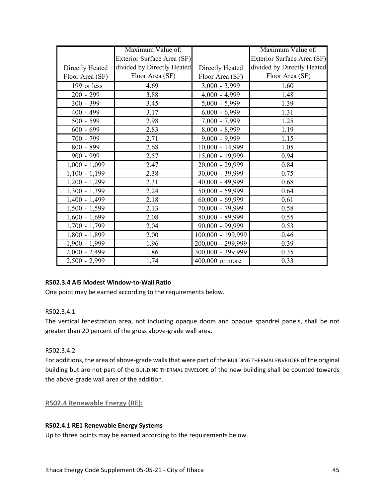|                 | Maximum Value of:          |                           | Maximum Value of:          |
|-----------------|----------------------------|---------------------------|----------------------------|
|                 | Exterior Surface Area (SF) |                           | Exterior Surface Area (SF) |
| Directly Heated | divided by Directly Heated | Directly Heated           | divided by Directly Heated |
| Floor Area (SF) | Floor Area (SF)            | Floor Area (SF)           | Floor Area (SF)            |
| 199 or less     | 4.69                       | $\frac{1}{3,000}$ - 3,999 | 1.60                       |
| $200 - 299$     | 3.88                       | $4,000 - 4,999$           | 1.48                       |
| $300 - 399$     | 3.45                       | $5,000 - 5,999$           | 1.39                       |
| $400 - 499$     | 3.17                       | $6,000 - 6,999$           | 1.31                       |
| $500 - 599$     | 2.98                       | 7,000 - 7,999             | 1.25                       |
| $600 - 699$     | 2.83                       | $8,000 - 8,999$           | 1.19                       |
| 700 - 799       | 2.71                       | $9,000 - 9,999$           | 1.15                       |
| 800 - 899       | 2.68                       | $10,000 - 14,999$         | 1.05                       |
| $900 - 999$     | 2.57                       | 15,000 - 19,999           | 0.94                       |
| $1,000 - 1,099$ | 2.47                       | 20,000 - 29,999           | 0.84                       |
| $1,100 - 1,199$ | 2.38                       | $30,000 - 39,999$         | 0.75                       |
| $1,200 - 1,299$ | 2.31                       | 40,000 - 49,999           | 0.68                       |
| $1,300 - 1,399$ | 2.24                       | $50,000 - 59,999$         | 0.64                       |
| $1,400 - 1,499$ | 2.18                       | $60,000 - 69,999$         | 0.61                       |
| $1,500 - 1,599$ | 2.13                       | 70,000 - 79,999           | 0.58                       |
| $1,600 - 1,699$ | 2.08                       | 80,000 - 89,999           | 0.55                       |
| $1,700 - 1,799$ | 2.04                       | $90,000 - 99,999$         | 0.53                       |
| $1,800 - 1,899$ | 2.00                       | 100,000 - 199,999         | 0.46                       |
| 1,900 - 1,999   | 1.96                       | 200,000 - 299,999         | 0.39                       |
| $2,000 - 2,499$ | 1.86                       | 300,000 - 399,999         | 0.35                       |
| $2,500 - 2,999$ | 1.74                       | 400,000 or more           | 0.33                       |

## **R502.3.4 AI5 Modest Window-to-Wall Ratio**

One point may be earned according to the requirements below.

## R502.3.4.1

The vertical fenestration area, not including opaque doors and opaque spandrel panels, shall be not greater than 20 percent of the gross above-grade wall area.

## R502.3.4.2

For additions, the area of above-grade walls that were part of the BUILDING THERMAL ENVELOPE of the original building but are not part of the BUILDING THERMAL ENVELOPE of the new building shall be counted towards the above-grade wall area of the addition.

## **R502.4 Renewable Energy (RE):**

#### **R502.4.1 RE1 Renewable Energy Systems**

Up to three points may be earned according to the requirements below.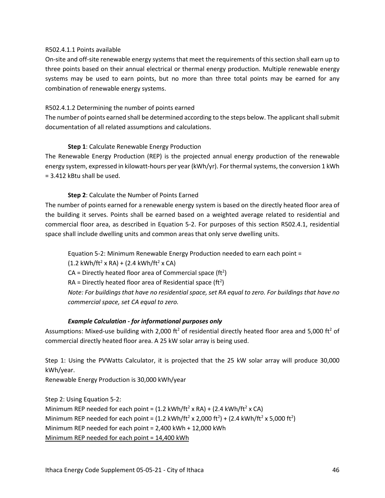#### R502.4.1.1 Points available

On-site and off-site renewable energy systems that meet the requirements of this section shall earn up to three points based on their annual electrical or thermal energy production. Multiple renewable energy systems may be used to earn points, but no more than three total points may be earned for any combination of renewable energy systems.

#### R502.4.1.2 Determining the number of points earned

The number of points earned shall be determined according to the steps below. The applicant shall submit documentation of all related assumptions and calculations.

## **Step 1**: Calculate Renewable Energy Production

The Renewable Energy Production (REP) is the projected annual energy production of the renewable energy system, expressed in kilowatt-hours per year (kWh/yr). For thermal systems, the conversion 1 kWh = 3.412 kBtu shall be used.

## **Step 2**: Calculate the Number of Points Earned

The number of points earned for a renewable energy system is based on the directly heated floor area of the building it serves. Points shall be earned based on a weighted average related to residential and commercial floor area, as described in Equation 5-2. For purposes of this section R502.4.1, residential space shall include dwelling units and common areas that only serve dwelling units.

Equation 5-2: Minimum Renewable Energy Production needed to earn each point =  $(1.2 \text{ kWh/ft}^2 \times \text{RA}) + (2.4 \text{ kWh/ft}^2 \times \text{CA})$ CA = Directly heated floor area of Commercial space (ft<sup>2</sup>)  $RA =$  Directly heated floor area of Residential space (ft<sup>2</sup>) *Note: For buildings that have no residential space, set RA equal to zero. For buildings that have no commercial space, set CA equal to zero.*

#### *Example Calculation - for informational purposes only*

Assumptions: Mixed-use building with 2,000 ft<sup>2</sup> of residential directly heated floor area and 5,000 ft<sup>2</sup> of commercial directly heated floor area. A 25 kW solar array is being used.

Step 1: Using the PVWatts Calculator, it is projected that the 25 kW solar array will produce 30,000 kWh/year.

Renewable Energy Production is 30,000 kWh/year

Step 2: Using Equation 5-2: Minimum REP needed for each point =  $(1.2 \text{ kWh/ft}^2 \times \text{RA}) + (2.4 \text{ kWh/ft}^2 \times \text{CA})$ Minimum REP needed for each point =  $(1.2 \text{ kWh/ft}^2 \times 2,000 \text{ ft}^2) + (2.4 \text{ kWh/ft}^2 \times 5,000 \text{ ft}^2)$ Minimum REP needed for each point = 2,400 kWh + 12,000 kWh Minimum REP needed for each point = 14,400 kWh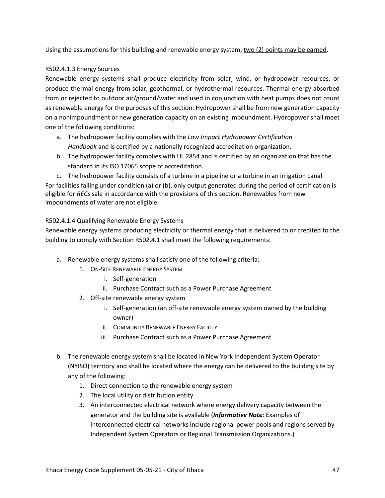Using the assumptions for this building and renewable energy system, two (2) points may be earned.

## R502.4.1.3 Energy Sources

Renewable energy systems shall produce electricity from solar, wind, or hydropower resources, or produce thermal energy from solar, geothermal, or hydrothermal resources. Thermal energy absorbed from or rejected to outdoor air/ground/water and used in conjunction with heat pumps does not count as renewable energy for the purposes of this section. Hydropower shall be from new generation capacity on a nonimpoundment or new generation capacity on an existing impoundment. Hydropower shall meet one of the following conditions:

- a. The hydropower facility complies with the *Low Impact Hydropower Certification Handbook* and is certified by a nationally recognized accreditation organization.
- b. The hydropower facility complies with UL 2854 and is certified by an organization that has the standard in its ISO 17065 scope of accreditation.

c. The hydropower facility consists of a turbine in a pipeline or a turbine in an irrigation canal. For facilities falling under condition (a) or (b), only output generated during the period of certification is eligible for *RECs* sale in accordance with the provisions of this section. Renewables from new impoundments of water are not eligible.

## R502.4.1.4 Qualifying Renewable Energy Systems

Renewable energy systems producing electricity or thermal energy that is delivered to or credited to the building to comply with Section R502.4.1 shall meet the following requirements:

- a. Renewable energy systems shall satisfy one of the following criteria:
	- 1. ON-SITE RENEWABLE ENERGY SYSTEM
		- i. Self-generation
		- ii. Purchase Contract such as a Power Purchase Agreement
	- 2. Off-site renewable energy system
		- i. Self-generation (an off-site renewable energy system owned by the building owner)
		- ii. COMMUNITY RENEWABLE ENERGY FACILITY
		- iii. Purchase Contract such as a Power Purchase Agreement
- b. The renewable energy system shall be located in New York Independent System Operator (NYISO) territory and shall be located where the energy can be delivered to the building site by any of the following:
	- 1. Direct connection to the renewable energy system
	- 2. The local utility or distribution entity
	- 3. An interconnected electrical network where energy delivery capacity between the generator and the building site is available (*Informative Note:* Examples of interconnected electrical networks include regional power pools and regions served by Independent System Operators or Regional Transmission Organizations.)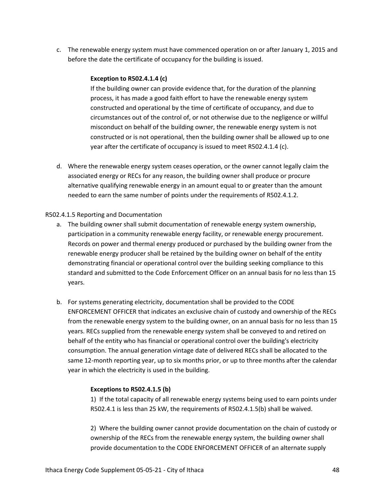c. The renewable energy system must have commenced operation on or after January 1, 2015 and before the date the certificate of occupancy for the building is issued.

#### **Exception to R502.4.1.4 (c)**

If the building owner can provide evidence that, for the duration of the planning process, it has made a good faith effort to have the renewable energy system constructed and operational by the time of certificate of occupancy, and due to circumstances out of the control of, or not otherwise due to the negligence or willful misconduct on behalf of the building owner, the renewable energy system is not constructed or is not operational, then the building owner shall be allowed up to one year after the certificate of occupancy is issued to meet R502.4.1.4 (c).

d. Where the renewable energy system ceases operation, or the owner cannot legally claim the associated energy or RECs for any reason, the building owner shall produce or procure alternative qualifying renewable energy in an amount equal to or greater than the amount needed to earn the same number of points under the requirements of R502.4.1.2.

#### R502.4.1.5 Reporting and Documentation

- a. The building owner shall submit documentation of renewable energy system ownership, participation in a community renewable energy facility, or renewable energy procurement. Records on power and thermal energy produced or purchased by the building owner from the renewable energy producer shall be retained by the building owner on behalf of the entity demonstrating financial or operational control over the building seeking compliance to this standard and submitted to the Code Enforcement Officer on an annual basis for no less than 15 years.
- b. For systems generating electricity, documentation shall be provided to the CODE ENFORCEMENT OFFICER that indicates an exclusive chain of custody and ownership of the RECs from the renewable energy system to the building owner, on an annual basis for no less than 15 years. RECs supplied from the renewable energy system shall be conveyed to and retired on behalf of the entity who has financial or operational control over the building's electricity consumption. The annual generation vintage date of delivered RECs shall be allocated to the same 12-month reporting year, up to six months prior, or up to three months after the calendar year in which the electricity is used in the building.

#### **Exceptions to R502.4.1.5 (b)**

1) If the total capacity of all renewable energy systems being used to earn points under R502.4.1 is less than 25 kW, the requirements of R502.4.1.5(b) shall be waived.

2) Where the building owner cannot provide documentation on the chain of custody or ownership of the RECs from the renewable energy system, the building owner shall provide documentation to the CODE ENFORCEMENT OFFICER of an alternate supply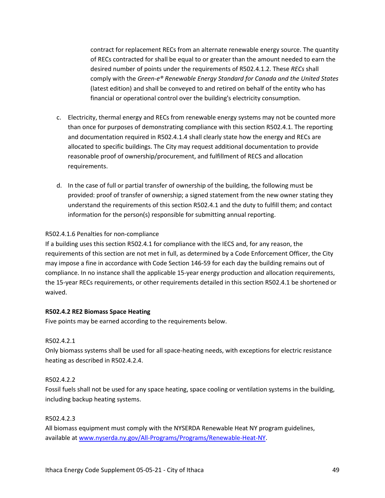contract for replacement RECs from an alternate renewable energy source. The quantity of RECs contracted for shall be equal to or greater than the amount needed to earn the desired number of points under the requirements of R502.4.1.2. These *RECs* shall comply with the *Green-e® Renewable Energy Standard for Canada and the United States* (latest edition) and shall be conveyed to and retired on behalf of the entity who has financial or operational control over the building's electricity consumption.

- c. Electricity, thermal energy and RECs from renewable energy systems may not be counted more than once for purposes of demonstrating compliance with this section R502.4.1. The reporting and documentation required in R502.4.1.4 shall clearly state how the energy and RECs are allocated to specific buildings. The City may request additional documentation to provide reasonable proof of ownership/procurement, and fulfillment of RECS and allocation requirements.
- d. In the case of full or partial transfer of ownership of the building, the following must be provided: proof of transfer of ownership; a signed statement from the new owner stating they understand the requirements of this section R502.4.1 and the duty to fulfill them; and contact information for the person(s) responsible for submitting annual reporting.

## R502.4.1.6 Penalties for non-compliance

If a building uses this section R502.4.1 for compliance with the IECS and, for any reason, the requirements of this section are not met in full, as determined by a Code Enforcement Officer, the City may impose a fine in accordance with Code Section 146-59 for each day the building remains out of compliance. In no instance shall the applicable 15-year energy production and allocation requirements, the 15-year RECs requirements, or other requirements detailed in this section R502.4.1 be shortened or waived.

#### **R502.4.2 RE2 Biomass Space Heating**

Five points may be earned according to the requirements below.

#### R502.4.2.1

Only biomass systems shall be used for all space-heating needs, with exceptions for electric resistance heating as described in R502.4.2.4.

#### R502.4.2.2

Fossil fuels shall not be used for any space heating, space cooling or ventilation systems in the building, including backup heating systems.

#### R502.4.2.3

All biomass equipment must comply with the NYSERDA Renewable Heat NY program guidelines, available at www.nyserda.ny.gov/All-Programs/Programs/Renewable-Heat-NY.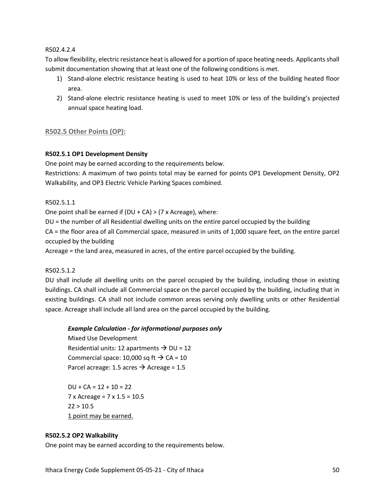#### R502.4.2.4

To allow flexibility, electric resistance heat is allowed for a portion of space heating needs. Applicants shall submit documentation showing that at least one of the following conditions is met.

- 1) Stand-alone electric resistance heating is used to heat 10% or less of the building heated floor area.
- 2) Stand-alone electric resistance heating is used to meet 10% or less of the building's projected annual space heating load.

## **R502.5 Other Points (OP):**

## **R502.5.1 OP1 Development Density**

One point may be earned according to the requirements below.

Restrictions: A maximum of two points total may be earned for points OP1 Development Density, OP2 Walkability, and OP3 Electric Vehicle Parking Spaces combined.

## R502.5.1.1

One point shall be earned if (DU + CA) > (7 x Acreage), where:

DU = the number of all Residential dwelling units on the entire parcel occupied by the building

CA = the floor area of all Commercial space, measured in units of 1,000 square feet, on the entire parcel occupied by the building

Acreage = the land area, measured in acres, of the entire parcel occupied by the building.

#### R502.5.1.2

DU shall include all dwelling units on the parcel occupied by the building, including those in existing buildings. CA shall include all Commercial space on the parcel occupied by the building, including that in existing buildings. CA shall not include common areas serving only dwelling units or other Residential space. Acreage shall include all land area on the parcel occupied by the building.

## *Example Calculation - for informational purposes only*

Mixed Use Development Residential units: 12 apartments  $\rightarrow$  DU = 12 Commercial space: 10,000 sq ft  $\rightarrow$  CA = 10 Parcel acreage: 1.5 acres  $\rightarrow$  Acreage = 1.5

 $DU + CA = 12 + 10 = 22$ 7 x Acreage = 7 x 1.5 = 10.5  $22 > 10.5$ 1 point may be earned.

#### **R502.5.2 OP2 Walkability**

One point may be earned according to the requirements below.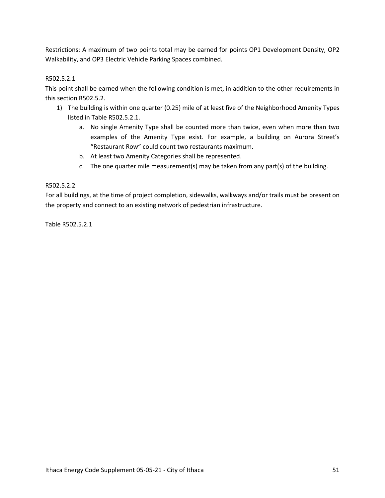Restrictions: A maximum of two points total may be earned for points OP1 Development Density, OP2 Walkability, and OP3 Electric Vehicle Parking Spaces combined.

## R502.5.2.1

This point shall be earned when the following condition is met, in addition to the other requirements in this section R502.5.2.

- 1) The building is within one quarter (0.25) mile of at least five of the Neighborhood Amenity Types listed in Table R502.5.2.1.
	- a. No single Amenity Type shall be counted more than twice, even when more than two examples of the Amenity Type exist. For example, a building on Aurora Street's "Restaurant Row" could count two restaurants maximum.
	- b. At least two Amenity Categories shall be represented.
	- c. The one quarter mile measurement(s) may be taken from any part(s) of the building.

#### R502.5.2.2

For all buildings, at the time of project completion, sidewalks, walkways and/or trails must be present on the property and connect to an existing network of pedestrian infrastructure.

Table R502.5.2.1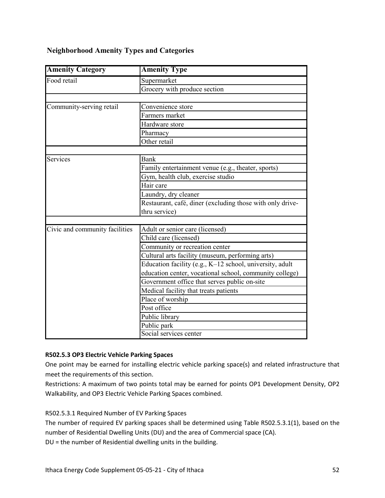## **Neighborhood Amenity Types and Categories**

| <b>Amenity Category</b>        | <b>Amenity Type</b>                                       |
|--------------------------------|-----------------------------------------------------------|
| Food retail                    | Supermarket                                               |
|                                | Grocery with produce section                              |
|                                |                                                           |
| Community-serving retail       | Convenience store                                         |
|                                | Farmers market                                            |
|                                | Hardware store                                            |
|                                | Pharmacy                                                  |
|                                | Other retail                                              |
|                                |                                                           |
| Services                       | Bank                                                      |
|                                | Family entertainment venue (e.g., theater, sports)        |
|                                | Gym, health club, exercise studio                         |
|                                | $\overline{\text{Hair}}$ care                             |
|                                | Laundry, dry cleaner                                      |
|                                | Restaurant, café, diner (excluding those with only drive- |
|                                | thru service)                                             |
|                                |                                                           |
| Civic and community facilities | Adult or senior care (licensed)                           |
|                                | Child care (licensed)                                     |
|                                | Community or recreation center                            |
|                                | Cultural arts facility (museum, performing arts)          |
|                                | Education facility (e.g., K-12 school, university, adult  |
|                                | education center, vocational school, community college)   |
|                                | Government office that serves public on-site              |
|                                | Medical facility that treats patients                     |
|                                | Place of worship                                          |
|                                | Post office                                               |
|                                | Public library                                            |
|                                | Public park                                               |
|                                | Social services center                                    |

## **R502.5.3 OP3 Electric Vehicle Parking Spaces**

One point may be earned for installing electric vehicle parking space(s) and related infrastructure that meet the requirements of this section.

Restrictions: A maximum of two points total may be earned for points OP1 Development Density, OP2 Walkability, and OP3 Electric Vehicle Parking Spaces combined.

## R502.5.3.1 Required Number of EV Parking Spaces

The number of required EV parking spaces shall be determined using Table R502.5.3.1(1), based on the number of Residential Dwelling Units (DU) and the area of Commercial space (CA).

DU = the number of Residential dwelling units in the building.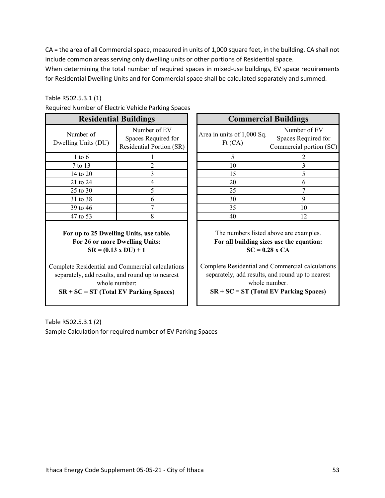CA = the area of all Commercial space, measured in units of 1,000 square feet, in the building. CA shall not include common areas serving only dwelling units or other portions of Residential space.

When determining the total number of required spaces in mixed-use buildings, EV space requirements for Residential Dwelling Units and for Commercial space shall be calculated separately and summed.

#### Table R502.5.3.1 (1)

| <b>Residential Buildings</b>     |                                                                 |  | <b>Commercial Buildings</b>          |                                      |
|----------------------------------|-----------------------------------------------------------------|--|--------------------------------------|--------------------------------------|
| Number of<br>Dwelling Units (DU) | Number of EV<br>Spaces Required for<br>Residential Portion (SR) |  | Area in units of 1,000 Sq.<br>Ft(CA) | Number<br>Spaces Req<br>Commercial p |
| $1$ to $6$                       |                                                                 |  | 5                                    | 2                                    |
| 7 to 13                          |                                                                 |  | 10                                   | 3                                    |
| 14 to 20                         | 3                                                               |  | 15                                   | 5                                    |
| 21 to 24                         | 4                                                               |  | 20                                   | 6                                    |
| $25$ to $30$                     | 5                                                               |  | 25                                   | $\tau$                               |
| 31 to 38                         | 6                                                               |  | 30                                   | 9                                    |
| 39 to 46                         |                                                                 |  | 35                                   | 10                                   |
| 47 to 53                         | 8                                                               |  | 40                                   | 12                                   |
|                                  |                                                                 |  |                                      |                                      |

|  |  | Required Number of Electric Vehicle Parking Spaces |
|--|--|----------------------------------------------------|
|  |  |                                                    |

**For up to 25 Dwelling Units, use table. For 26 or more Dwelling Units: SR = (0.13 x DU) + 1**

Complete Residential and Commercial calculations separately, add results, and round up to nearest whole number:

**SR + SC = ST (Total EV Parking Spaces)**

|                      | umber of Electric Vehicle Parking Spaces                        |                                      |                                                                |  |
|----------------------|-----------------------------------------------------------------|--------------------------------------|----------------------------------------------------------------|--|
|                      | <b>Residential Buildings</b>                                    | <b>Commercial Buildings</b>          |                                                                |  |
| ber of<br>Units (DU) | Number of EV<br>Spaces Required for<br>Residential Portion (SR) | Area in units of 1,000 Sq.<br>Ft(CA) | Number of EV<br>Spaces Required for<br>Commercial portion (SC) |  |
| to 6                 |                                                                 |                                      |                                                                |  |
| o 13                 |                                                                 | 10                                   |                                                                |  |
| to $20$              |                                                                 | 15                                   |                                                                |  |
| to $24$              |                                                                 | 20                                   | O                                                              |  |
| to $30$              |                                                                 | 25                                   |                                                                |  |
| to $38$              |                                                                 | 30                                   | 9                                                              |  |
| to 46                |                                                                 | 35                                   | 10                                                             |  |
| to 53                |                                                                 | 40                                   | 12                                                             |  |

The numbers listed above are examples. **For all building sizes use the equation: SC = 0.28 x CA**

Complete Residential and Commercial calculations separately, add results, and round up to nearest whole number. **SR + SC = ST (Total EV Parking Spaces)**

Table R502.5.3.1 (2) Sample Calculation for required number of EV Parking Spaces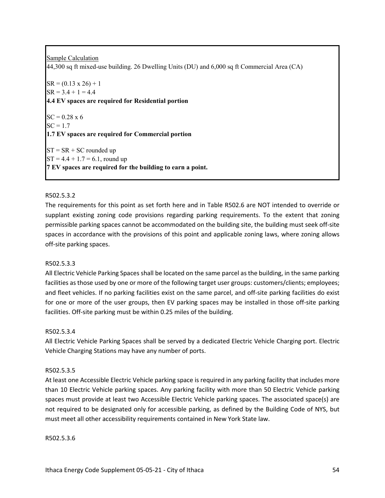Sample Calculation 44,300 sq ft mixed-use building. 26 Dwelling Units (DU) and 6,000 sq ft Commercial Area (CA)  $SR = (0.13 \times 26) + 1$  $SR = 3.4 + 1 = 4.4$ **4.4 EV spaces are required for Residential portion**  $SC = 0.28 \times 6$  $SC = 1.7$ **1.7 EV spaces are required for Commercial portion**  $ST = SR + SC$  rounded up  $ST = 4.4 + 1.7 = 6.1$ , round up **7 EV spaces are required for the building to earn a point.**

## R502.5.3.2

The requirements for this point as set forth here and in Table R502.6 are NOT intended to override or supplant existing zoning code provisions regarding parking requirements. To the extent that zoning permissible parking spaces cannot be accommodated on the building site, the building must seek off-site spaces in accordance with the provisions of this point and applicable zoning laws, where zoning allows off-site parking spaces.

#### R502.5.3.3

All Electric Vehicle Parking Spaces shall be located on the same parcel as the building, in the same parking facilities as those used by one or more of the following target user groups: customers/clients; employees; and fleet vehicles. If no parking facilities exist on the same parcel, and off-site parking facilities do exist for one or more of the user groups, then EV parking spaces may be installed in those off-site parking facilities. Off-site parking must be within 0.25 miles of the building.

#### R502.5.3.4

All Electric Vehicle Parking Spaces shall be served by a dedicated Electric Vehicle Charging port. Electric Vehicle Charging Stations may have any number of ports.

#### R502.5.3.5

At least one Accessible Electric Vehicle parking space is required in any parking facility that includes more than 10 Electric Vehicle parking spaces. Any parking facility with more than 50 Electric Vehicle parking spaces must provide at least two Accessible Electric Vehicle parking spaces. The associated space(s) are not required to be designated only for accessible parking, as defined by the Building Code of NYS, but must meet all other accessibility requirements contained in New York State law.

#### R502.5.3.6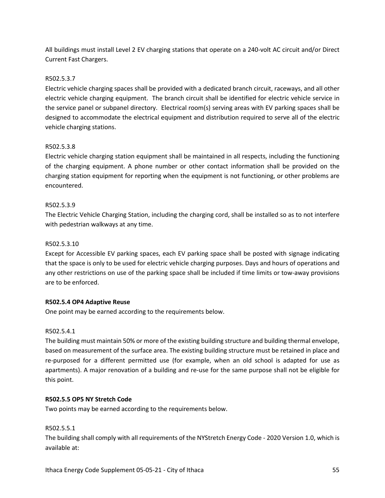All buildings must install Level 2 EV charging stations that operate on a 240-volt AC circuit and/or Direct Current Fast Chargers.

## R502.5.3.7

Electric vehicle charging spaces shall be provided with a dedicated branch circuit, raceways, and all other electric vehicle charging equipment. The branch circuit shall be identified for electric vehicle service in the service panel or subpanel directory. Electrical room(s) serving areas with EV parking spaces shall be designed to accommodate the electrical equipment and distribution required to serve all of the electric vehicle charging stations.

## R502.5.3.8

Electric vehicle charging station equipment shall be maintained in all respects, including the functioning of the charging equipment. A phone number or other contact information shall be provided on the charging station equipment for reporting when the equipment is not functioning, or other problems are encountered.

## R502.5.3.9

The Electric Vehicle Charging Station, including the charging cord, shall be installed so as to not interfere with pedestrian walkways at any time.

## R502.5.3.10

Except for Accessible EV parking spaces, each EV parking space shall be posted with signage indicating that the space is only to be used for electric vehicle charging purposes. Days and hours of operations and any other restrictions on use of the parking space shall be included if time limits or tow-away provisions are to be enforced.

#### **R502.5.4 OP4 Adaptive Reuse**

One point may be earned according to the requirements below.

## R502.5.4.1

The building must maintain 50% or more of the existing building structure and building thermal envelope, based on measurement of the surface area. The existing building structure must be retained in place and re-purposed for a different permitted use (for example, when an old school is adapted for use as apartments). A major renovation of a building and re-use for the same purpose shall not be eligible for this point.

#### **R502.5.5 OP5 NY Stretch Code**

Two points may be earned according to the requirements below.

#### R502.5.5.1

The building shall comply with all requirements of the NYStretch Energy Code - 2020 Version 1.0, which is available at: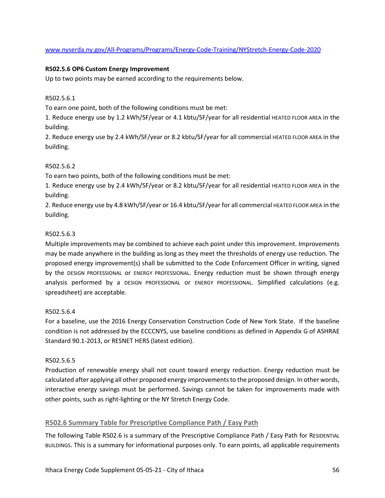www.nyserda.ny.gov/All-Programs/Programs/Energy-Code-Training/NYStretch-Energy-Code-2020

## **R502.5.6 OP6 Custom Energy Improvement**

Up to two points may be earned according to the requirements below.

#### R502.5.6.1

To earn one point, both of the following conditions must be met:

1. Reduce energy use by 1.2 kWh/SF/year or 4.1 kbtu/SF/year for all residential HEATED FLOOR AREA in the building.

2. Reduce energy use by 2.4 kWh/SF/year or 8.2 kbtu/SF/year for all commercial HEATED FLOOR AREA in the building.

## R502.5.6.2

To earn two points, both of the following conditions must be met:

1. Reduce energy use by 2.4 kWh/SF/year or 8.2 kbtu/SF/year for all residential HEATED FLOOR AREA in the building.

2. Reduce energy use by 4.8 kWh/SF/year or 16.4 kbtu/SF/year for all commercial HEATED FLOOR AREA in the building.

## R502.5.6.3

Multiple improvements may be combined to achieve each point under this improvement. Improvements may be made anywhere in the building as long as they meet the thresholds of energy use reduction. The proposed energy improvement(s) shall be submitted to the Code Enforcement Officer in writing, signed by the DESIGN PROFESSIONAL or ENERGY PROFESSIONAL. Energy reduction must be shown through energy analysis performed by a DESIGN PROFESSIONAL or ENERGY PROFESSIONAL. Simplified calculations (e.g. spreadsheet) are acceptable.

#### R502.5.6.4

For a baseline, use the 2016 Energy Conservation Construction Code of New York State. If the baseline condition is not addressed by the ECCCNYS, use baseline conditions as defined in Appendix G of ASHRAE Standard 90.1-2013, or RESNET HERS (latest edition).

#### R502.5.6.5

Production of renewable energy shall not count toward energy reduction. Energy reduction must be calculated after applying all other proposed energy improvements to the proposed design. In other words, interactive energy savings must be performed. Savings cannot be taken for improvements made with other points, such as right-lighting or the NY Stretch Energy Code.

## **R502.6 Summary Table for Prescriptive Compliance Path / Easy Path**

The following Table R502.6 is a summary of the Prescriptive Compliance Path / Easy Path for RESIDENTIAL BUILDINGS. This is a summary for informational purposes only. To earn points, all applicable requirements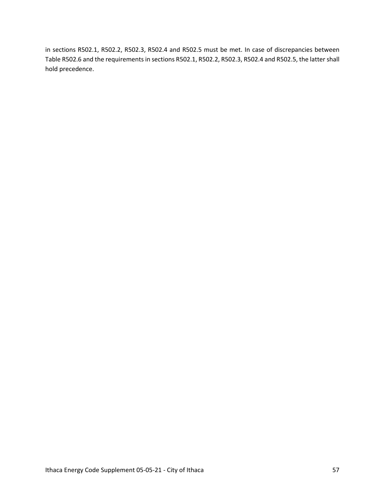in sections R502.1, R502.2, R502.3, R502.4 and R502.5 must be met. In case of discrepancies between Table R502.6 and the requirements in sections R502.1, R502.2, R502.3, R502.4 and R502.5, the latter shall hold precedence.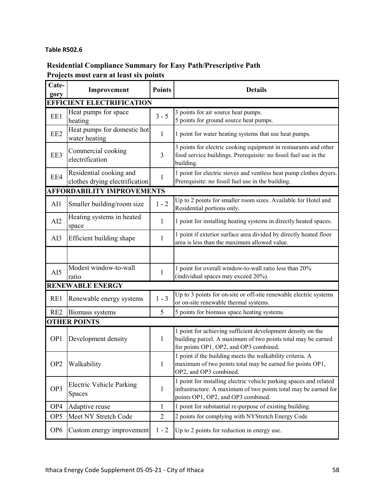## **Table R502.6**

# **Residential Compliance Summary for Easy Path/Prescriptive Path Projects must earn at least six points**

| Cate-<br>gory   | Improvement                                               | <b>Points</b>  | <b>Details</b>                                                                                                                                                              |
|-----------------|-----------------------------------------------------------|----------------|-----------------------------------------------------------------------------------------------------------------------------------------------------------------------------|
|                 | <b>EFFICIENT ELECTRIFICATION</b>                          |                |                                                                                                                                                                             |
| EE1             | Heat pumps for space<br>heating                           | $3 - 5$        | 3 points for air source heat pumps.<br>5 points for ground source heat pumps.                                                                                               |
| EE <sub>2</sub> | Heat pumps for domestic hot<br>water heating              | $\mathbf{1}$   | 1 point for water heating systems that use heat pumps.                                                                                                                      |
| EE3             | Commercial cooking<br>electrification                     | 3              | 3 points for electric cooking equipment in restaurants and other<br>food service buildings. Prerequisite: no fossil fuel use in the<br>building.                            |
| EE4             | Residential cooking and<br>clothes drying electrification | 1              | 1 point for electric stoves and ventless heat pump clothes dryers.<br>Prerequisite: no fossil fuel use in the building.                                                     |
|                 | <b>AFFORDABILITY IMPROVEMENTS</b>                         |                |                                                                                                                                                                             |
| AI1             | Smaller building/room size                                | $1 - 2$        | Up to 2 points for smaller room sizes. Available for Hotel and<br>Residential portions only.                                                                                |
| AI2             | Heating systems in heated<br>space                        | 1              | 1 point for installing heating systems in directly heated spaces.                                                                                                           |
| AI3             | Efficient building shape                                  | 1              | 1 point if exterior surface area divided by directly heated floor<br>area is less than the maximum allowed value.                                                           |
|                 |                                                           |                |                                                                                                                                                                             |
| AI5             | Modest window-to-wall<br>ratio                            | 1              | 1 point for overall window-to-wall ratio less than 20%<br>(individual spaces may exceed 20%).                                                                               |
|                 | <b>RENEWABLE ENERGY</b>                                   |                |                                                                                                                                                                             |
| RE1             | Renewable energy systems                                  | $1 - 3$        | Up to 3 points for on-site or off-site renewable electric systems<br>or on-site renewable thermal systems.                                                                  |
| RE <sub>2</sub> | Biomass systems                                           | 5              | 5 points for biomass space heating systems.                                                                                                                                 |
|                 | <b>OTHER POINTS</b>                                       |                |                                                                                                                                                                             |
| OP <sub>1</sub> | Development density                                       | 1              | 1 point for achieving sufficient development density on the<br>building parcel. A maximum of two points total may be earned<br>for points OP1, OP2, and OP3 combined.       |
| OP <sub>2</sub> | Walkability                                               | $\mathbf{1}$   | 1 point if the building meets the walkability criteria. A<br>maximum of two points total may be earned for points OP1,<br>OP2, and OP3 combined.                            |
| OP <sub>3</sub> | Electric Vehicle Parking<br>Spaces                        | $\mathbf{1}$   | 1 point for installing electric vehicle parking spaces and related<br>infrastructure. A maximum of two points total may be earned for<br>points OP1, OP2, and OP3 combined. |
| OP4             | Adaptive reuse                                            | $\mathbf{1}$   | 1 point for substantial re-purpose of existing building.                                                                                                                    |
| OP <sub>5</sub> | Meet NY Stretch Code                                      | $\overline{2}$ | 2 points for complying with NYStretch Energy Code                                                                                                                           |
| OP <sub>6</sub> | Custom energy improvement                                 | $1 - 2$        | Up to 2 points for reduction in energy use.                                                                                                                                 |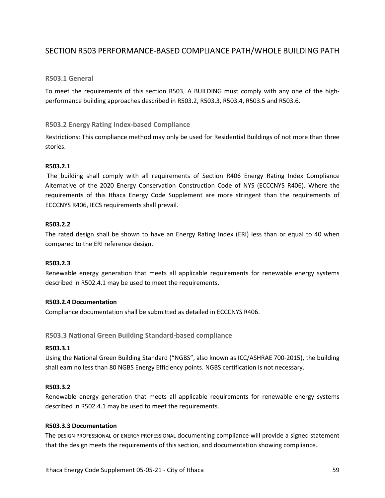## SECTION R503 PERFORMANCE-BASED COMPLIANCE PATH/WHOLE BUILDING PATH

## **R503.1 General**

To meet the requirements of this section R503, A BUILDING must comply with any one of the highperformance building approaches described in R503.2, R503.3, R503.4, R503.5 and R503.6.

#### **R503.2 Energy Rating Index-based Compliance**

Restrictions: This compliance method may only be used for Residential Buildings of not more than three stories.

#### **R503.2.1**

The building shall comply with all requirements of Section R406 Energy Rating Index Compliance Alternative of the 2020 Energy Conservation Construction Code of NYS (ECCCNYS R406). Where the requirements of this Ithaca Energy Code Supplement are more stringent than the requirements of ECCCNYS R406, IECS requirements shall prevail.

#### **R503.2.2**

The rated design shall be shown to have an Energy Rating Index (ERI) less than or equal to 40 when compared to the ERI reference design.

#### **R503.2.3**

Renewable energy generation that meets all applicable requirements for renewable energy systems described in R502.4.1 may be used to meet the requirements.

#### **R503.2.4 Documentation**

Compliance documentation shall be submitted as detailed in ECCCNYS R406.

#### **R503.3 National Green Building Standard-based compliance**

#### **R503.3.1**

Using the National Green Building Standard ("NGBS", also known as ICC/ASHRAE 700-2015), the building shall earn no less than 80 NGBS Energy Efficiency points. NGBS certification is not necessary.

#### **R503.3.2**

Renewable energy generation that meets all applicable requirements for renewable energy systems described in R502.4.1 may be used to meet the requirements.

#### **R503.3.3 Documentation**

The DESIGN PROFESSIONAL or ENERGY PROFESSIONAL documenting compliance will provide a signed statement that the design meets the requirements of this section, and documentation showing compliance.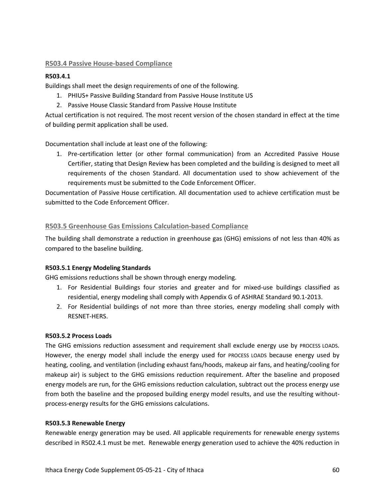## **R503.4 Passive House-based Compliance**

## **R503.4.1**

Buildings shall meet the design requirements of one of the following.

- 1. PHIUS+ Passive Building Standard from Passive House Institute US
- 2. Passive House Classic Standard from Passive House Institute

Actual certification is not required. The most recent version of the chosen standard in effect at the time of building permit application shall be used.

Documentation shall include at least one of the following:

1. Pre-certification letter (or other formal communication) from an Accredited Passive House Certifier, stating that Design Review has been completed and the building is designed to meet all requirements of the chosen Standard. All documentation used to show achievement of the requirements must be submitted to the Code Enforcement Officer.

Documentation of Passive House certification. All documentation used to achieve certification must be submitted to the Code Enforcement Officer.

## **R503.5 Greenhouse Gas Emissions Calculation-based Compliance**

The building shall demonstrate a reduction in greenhouse gas (GHG) emissions of not less than 40% as compared to the baseline building.

#### **R503.5.1 Energy Modeling Standards**

GHG emissions reductions shall be shown through energy modeling.

- 1. For Residential Buildings four stories and greater and for mixed-use buildings classified as residential, energy modeling shall comply with Appendix G of ASHRAE Standard 90.1-2013.
- 2. For Residential buildings of not more than three stories, energy modeling shall comply with RESNET-HERS.

#### **R503.5.2 Process Loads**

The GHG emissions reduction assessment and requirement shall exclude energy use by PROCESS LOADS. However, the energy model shall include the energy used for PROCESS LOADS because energy used by heating, cooling, and ventilation (including exhaust fans/hoods, makeup air fans, and heating/cooling for makeup air) is subject to the GHG emissions reduction requirement. After the baseline and proposed energy models are run, for the GHG emissions reduction calculation, subtract out the process energy use from both the baseline and the proposed building energy model results, and use the resulting withoutprocess-energy results for the GHG emissions calculations.

#### **R503.5.3 Renewable Energy**

Renewable energy generation may be used. All applicable requirements for renewable energy systems described in R502.4.1 must be met. Renewable energy generation used to achieve the 40% reduction in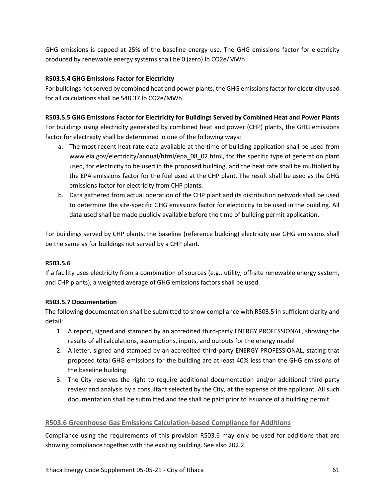GHG emissions is capped at 25% of the baseline energy use. The GHG emissions factor for electricity produced by renewable energy systems shall be 0 (zero) lb CO2e/MWh.

## **R503.5.4 GHG Emissions Factor for Electricity**

For buildings not served by combined heat and power plants, the GHG emissions factor for electricity used for all calculations shall be 548.37 lb CO2e/MWh

## **R503.5.5 GHG Emissions Factor for Electricity for Buildings Served by Combined Heat and Power Plants**

For buildings using electricity generated by combined heat and power (CHP) plants, the GHG emissions factor for electricity shall be determined in one of the following ways:

- a. The most recent heat rate data available at the time of building application shall be used from www.eia.gov/electricity/annual/html/epa\_08\_02.html, for the specific type of generation plant used, for electricity to be used in the proposed building, and the heat rate shall be multiplied by the EPA emissions factor for the fuel used at the CHP plant. The result shall be used as the GHG emissions factor for electricity from CHP plants.
- b. Data gathered from actual operation of the CHP plant and its distribution network shall be used to determine the site-specific GHG emissions factor for electricity to be used in the building. All data used shall be made publicly available before the time of building permit application.

For buildings served by CHP plants, the baseline (reference building) electricity use GHG emissions shall be the same as for buildings not served by a CHP plant.

#### **R503.5.6**

If a facility uses electricity from a combination of sources (e.g., utility, off-site renewable energy system, and CHP plants), a weighted average of GHG emissions factors shall be used.

#### **R503.5.7 Documentation**

The following documentation shall be submitted to show compliance with R503.5 in sufficient clarity and detail:

- 1. A report, signed and stamped by an accredited third-party ENERGY PROFESSIONAL, showing the results of all calculations, assumptions, inputs, and outputs for the energy model
- 2. A letter, signed and stamped by an accredited third-party ENERGY PROFESSIONAL, stating that proposed total GHG emissions for the building are at least 40% less than the GHG emissions of the baseline building.
- 3. The City reserves the right to require additional documentation and/or additional third-party review and analysis by a consultant selected by the City, at the expense of the applicant. All such documentation shall be submitted and fee shall be paid prior to issuance of a building permit.

## **R503.6 Greenhouse Gas Emissions Calculation-based Compliance for Additions**

Compliance using the requirements of this provision R503.6 may only be used for additions that are showing compliance together with the existing building. See also 202.2.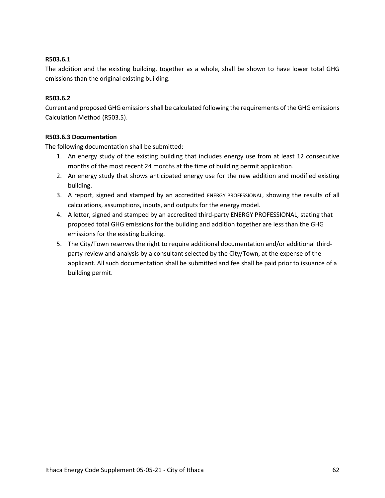## **R503.6.1**

The addition and the existing building, together as a whole, shall be shown to have lower total GHG emissions than the original existing building.

## **R503.6.2**

Current and proposed GHG emissions shall be calculated following the requirements of the GHG emissions Calculation Method (R503.5).

## **R503.6.3 Documentation**

The following documentation shall be submitted:

- 1. An energy study of the existing building that includes energy use from at least 12 consecutive months of the most recent 24 months at the time of building permit application.
- 2. An energy study that shows anticipated energy use for the new addition and modified existing building.
- 3. A report, signed and stamped by an accredited ENERGY PROFESSIONAL, showing the results of all calculations, assumptions, inputs, and outputs for the energy model.
- 4. A letter, signed and stamped by an accredited third-party ENERGY PROFESSIONAL, stating that proposed total GHG emissions for the building and addition together are less than the GHG emissions for the existing building.
- 5. The City/Town reserves the right to require additional documentation and/or additional thirdparty review and analysis by a consultant selected by the City/Town, at the expense of the applicant. All such documentation shall be submitted and fee shall be paid prior to issuance of a building permit.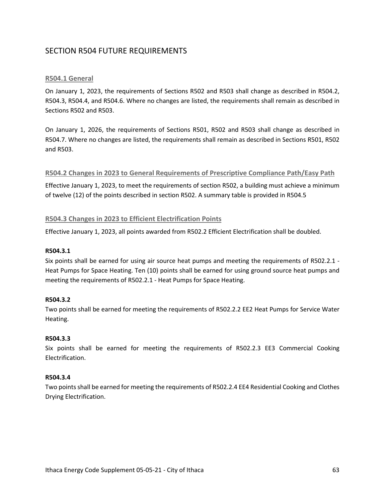## SECTION R504 FUTURE REQUIREMENTS

## **R504.1 General**

On January 1, 2023, the requirements of Sections R502 and R503 shall change as described in R504.2, R504.3, R504.4, and R504.6. Where no changes are listed, the requirements shall remain as described in Sections R502 and R503.

On January 1, 2026, the requirements of Sections R501, R502 and R503 shall change as described in R504.7. Where no changes are listed, the requirements shall remain as described in Sections R501, R502 and R503.

#### **R504.2 Changes in 2023 to General Requirements of Prescriptive Compliance Path/Easy Path**

Effective January 1, 2023, to meet the requirements of section R502, a building must achieve a minimum of twelve (12) of the points described in section R502. A summary table is provided in R504.5

## **R504.3 Changes in 2023 to Efficient Electrification Points**

Effective January 1, 2023, all points awarded from R502.2 Efficient Electrification shall be doubled.

#### **R504.3.1**

Six points shall be earned for using air source heat pumps and meeting the requirements of R502.2.1 - Heat Pumps for Space Heating. Ten (10) points shall be earned for using ground source heat pumps and meeting the requirements of R502.2.1 - Heat Pumps for Space Heating.

#### **R504.3.2**

Two points shall be earned for meeting the requirements of R502.2.2 EE2 Heat Pumps for Service Water Heating.

#### **R504.3.3**

Six points shall be earned for meeting the requirements of R502.2.3 EE3 Commercial Cooking Electrification.

#### **R504.3.4**

Two points shall be earned for meeting the requirements of R502.2.4 EE4 Residential Cooking and Clothes Drying Electrification.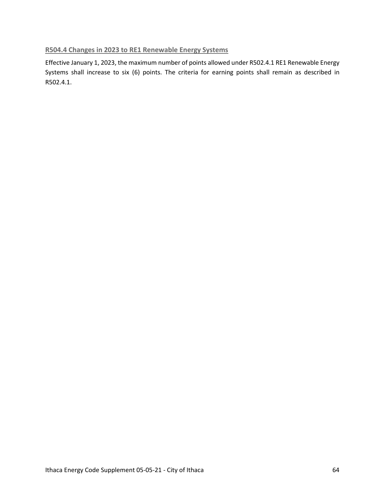## **R504.4 Changes in 2023 to RE1 Renewable Energy Systems**

Effective January 1, 2023, the maximum number of points allowed under R502.4.1 RE1 Renewable Energy Systems shall increase to six (6) points. The criteria for earning points shall remain as described in R502.4.1.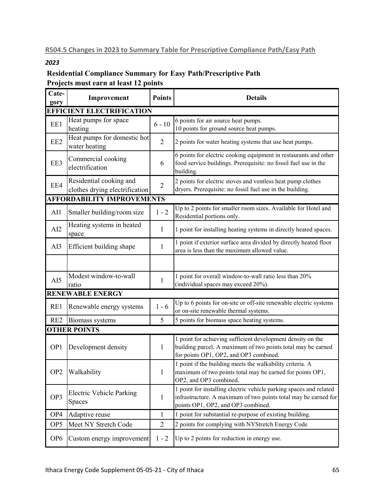## *2023*

## **Residential Compliance Summary for Easy Path/Prescriptive Path Projects must earn at least 12 points**

| Cate-<br>gory   | Improvement                                               | <b>Points</b>  | <b>Details</b>                                                                                                                                                              |
|-----------------|-----------------------------------------------------------|----------------|-----------------------------------------------------------------------------------------------------------------------------------------------------------------------------|
|                 | <b>EFFICIENT ELECTRIFICATION</b>                          |                |                                                                                                                                                                             |
| EE1             | Heat pumps for space<br>heating                           | $6 - 10$       | 6 points for air source heat pumps.<br>10 points for ground source heat pumps.                                                                                              |
| EE <sub>2</sub> | Heat pumps for domestic hot<br>water heating              | $\overline{2}$ | 2 points for water heating systems that use heat pumps.                                                                                                                     |
| EE3             | Commercial cooking<br>electrification                     | 6              | 6 points for electric cooking equipment in restaurants and other<br>food service buildings. Prerequisite: no fossil fuel use in the<br>building.                            |
| EE4             | Residential cooking and<br>clothes drying electrification | $\overline{2}$ | 2 points for electric stoves and ventless heat pump clothes<br>dryers. Prerequisite: no fossil fuel use in the building.                                                    |
|                 | <b>AFFORDABILITY IMPROVEMENTS</b>                         |                |                                                                                                                                                                             |
| AI1             | Smaller building/room size                                | $1 - 2$        | Up to 2 points for smaller room sizes. Available for Hotel and<br>Residential portions only.                                                                                |
| AI2             | Heating systems in heated<br>space                        | 1              | 1 point for installing heating systems in directly heated spaces.                                                                                                           |
| AI3             | Efficient building shape                                  | 1              | 1 point if exterior surface area divided by directly heated floor<br>area is less than the maximum allowed value.                                                           |
|                 |                                                           |                |                                                                                                                                                                             |
| AI5             | Modest window-to-wall<br>ratio                            | 1              | 1 point for overall window-to-wall ratio less than 20%<br>(individual spaces may exceed 20%).                                                                               |
|                 | <b>RENEWABLE ENERGY</b>                                   |                |                                                                                                                                                                             |
| RE1             | Renewable energy systems                                  | $1 - 6$        | Up to 6 points for on-site or off-site renewable electric systems<br>or on-site renewable thermal systems.                                                                  |
| RE <sub>2</sub> | Biomass systems                                           | 5              | 5 points for biomass space heating systems.                                                                                                                                 |
|                 | <b>OTHER POINTS</b>                                       |                |                                                                                                                                                                             |
| OP <sub>1</sub> | Development density                                       | $\mathbf{1}$   | 1 point for achieving sufficient development density on the<br>building parcel. A maximum of two points total may be earned<br>for points OP1, OP2, and OP3 combined.       |
| OP <sub>2</sub> | Walkability                                               | $\mathbf{1}$   | 1 point if the building meets the walkability criteria. A<br>maximum of two points total may be earned for points OP1,<br>OP2, and OP3 combined.                            |
| OP3             | <b>Electric Vehicle Parking</b><br>Spaces                 | $\mathbf{1}$   | 1 point for installing electric vehicle parking spaces and related<br>infrastructure. A maximum of two points total may be earned for<br>points OP1, OP2, and OP3 combined. |
| OP4             | Adaptive reuse                                            | $\mathbf{1}$   | 1 point for substantial re-purpose of existing building.                                                                                                                    |
| OP <sub>5</sub> | Meet NY Stretch Code                                      | $\mathfrak{2}$ | 2 points for complying with NYStretch Energy Code                                                                                                                           |
| OP <sub>6</sub> | Custom energy improvement                                 | $1 - 2$        | Up to 2 points for reduction in energy use.                                                                                                                                 |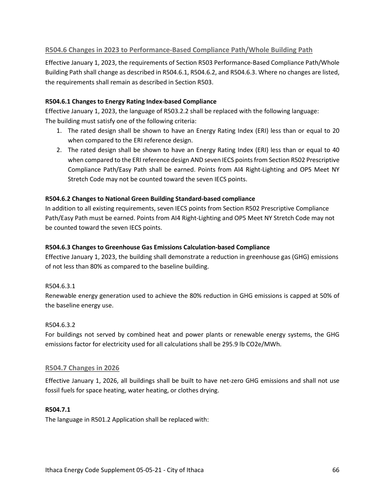## **R504.6 Changes in 2023 to Performance-Based Compliance Path/Whole Building Path**

Effective January 1, 2023, the requirements of Section R503 Performance-Based Compliance Path/Whole Building Path shall change as described in R504.6.1, R504.6.2, and R504.6.3. Where no changes are listed, the requirements shall remain as described in Section R503.

## **R504.6.1 Changes to Energy Rating Index-based Compliance**

Effective January 1, 2023, the language of R503.2.2 shall be replaced with the following language: The building must satisfy one of the following criteria:

- 1. The rated design shall be shown to have an Energy Rating Index (ERI) less than or equal to 20 when compared to the ERI reference design.
- 2. The rated design shall be shown to have an Energy Rating Index (ERI) less than or equal to 40 when compared to the ERI reference design AND seven IECS points from Section R502 Prescriptive Compliance Path/Easy Path shall be earned. Points from AI4 Right-Lighting and OP5 Meet NY Stretch Code may not be counted toward the seven IECS points.

## **R504.6.2 Changes to National Green Building Standard-based compliance**

In addition to all existing requirements, seven IECS points from Section R502 Prescriptive Compliance Path/Easy Path must be earned. Points from AI4 Right-Lighting and OP5 Meet NY Stretch Code may not be counted toward the seven IECS points.

## **R504.6.3 Changes to Greenhouse Gas Emissions Calculation-based Compliance**

Effective January 1, 2023, the building shall demonstrate a reduction in greenhouse gas (GHG) emissions of not less than 80% as compared to the baseline building.

## R504.6.3.1

Renewable energy generation used to achieve the 80% reduction in GHG emissions is capped at 50% of the baseline energy use.

#### R504.6.3.2

For buildings not served by combined heat and power plants or renewable energy systems, the GHG emissions factor for electricity used for all calculations shall be 295.9 lb CO2e/MWh.

#### **R504.7 Changes in 2026**

Effective January 1, 2026, all buildings shall be built to have net-zero GHG emissions and shall not use fossil fuels for space heating, water heating, or clothes drying.

#### **R504.7.1**

The language in R501.2 Application shall be replaced with: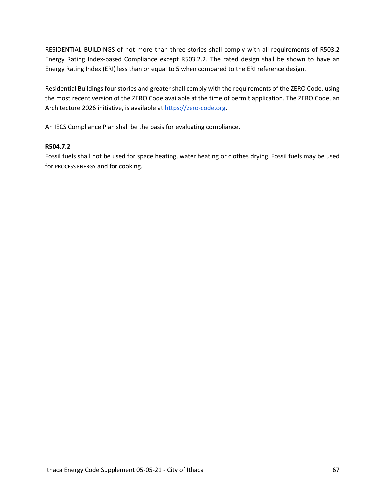RESIDENTIAL BUILDINGS of not more than three stories shall comply with all requirements of R503.2 Energy Rating Index-based Compliance except R503.2.2. The rated design shall be shown to have an Energy Rating Index (ERI) less than or equal to 5 when compared to the ERI reference design.

Residential Buildings four stories and greater shall comply with the requirements of the ZERO Code, using the most recent version of the ZERO Code available at the time of permit application. The ZERO Code, an Architecture 2026 initiative, is available at https://zero-code.org.

An IECS Compliance Plan shall be the basis for evaluating compliance.

## **R504.7.2**

Fossil fuels shall not be used for space heating, water heating or clothes drying. Fossil fuels may be used for PROCESS ENERGY and for cooking.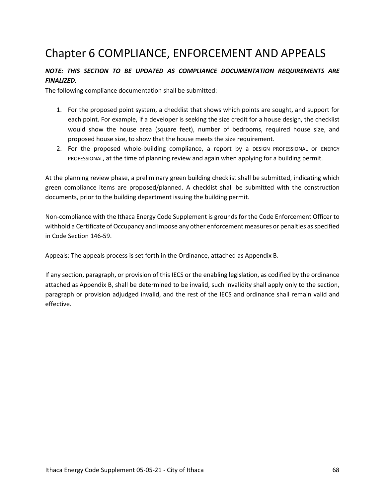# Chapter 6 COMPLIANCE, ENFORCEMENT AND APPEALS

## *NOTE: THIS SECTION TO BE UPDATED AS COMPLIANCE DOCUMENTATION REQUIREMENTS ARE FINALIZED.*

The following compliance documentation shall be submitted:

- 1. For the proposed point system, a checklist that shows which points are sought, and support for each point. For example, if a developer is seeking the size credit for a house design, the checklist would show the house area (square feet), number of bedrooms, required house size, and proposed house size, to show that the house meets the size requirement.
- 2. For the proposed whole-building compliance, a report by a DESIGN PROFESSIONAL or ENERGY PROFESSIONAL, at the time of planning review and again when applying for a building permit.

At the planning review phase, a preliminary green building checklist shall be submitted, indicating which green compliance items are proposed/planned. A checklist shall be submitted with the construction documents, prior to the building department issuing the building permit.

Non-compliance with the Ithaca Energy Code Supplement is grounds for the Code Enforcement Officer to withhold a Certificate of Occupancy and impose any other enforcement measures or penalties as specified in Code Section 146-59.

Appeals: The appeals process is set forth in the Ordinance, attached as Appendix B.

If any section, paragraph, or provision of this IECS or the enabling legislation, as codified by the ordinance attached as Appendix B, shall be determined to be invalid, such invalidity shall apply only to the section, paragraph or provision adjudged invalid, and the rest of the IECS and ordinance shall remain valid and effective.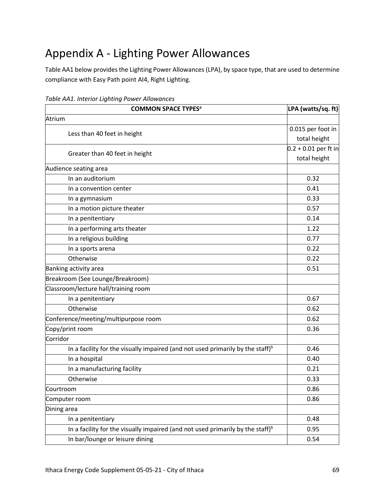# Appendix A - Lighting Power Allowances

Table AA1 below provides the Lighting Power Allowances (LPA), by space type, that are used to determine compliance with Easy Path point AI4, Right Lighting.

| <b>COMMON SPACE TYPES<sup>a</sup></b>                                                      | LPA (watts/sq. ft)     |
|--------------------------------------------------------------------------------------------|------------------------|
| Atrium                                                                                     |                        |
|                                                                                            | 0.015 per foot in      |
| Less than 40 feet in height                                                                | total height           |
|                                                                                            | $0.2 + 0.01$ per ft in |
| Greater than 40 feet in height                                                             | total height           |
| Audience seating area                                                                      |                        |
| In an auditorium                                                                           | 0.32                   |
| In a convention center                                                                     | 0.41                   |
| In a gymnasium                                                                             | 0.33                   |
| In a motion picture theater                                                                | 0.57                   |
| In a penitentiary                                                                          | 0.14                   |
| In a performing arts theater                                                               | 1.22                   |
| In a religious building                                                                    | 0.77                   |
| In a sports arena                                                                          | 0.22                   |
| Otherwise                                                                                  | 0.22                   |
| Banking activity area                                                                      | 0.51                   |
| Breakroom (See Lounge/Breakroom)                                                           |                        |
| Classroom/lecture hall/training room                                                       |                        |
| In a penitentiary                                                                          | 0.67                   |
| Otherwise                                                                                  | 0.62                   |
| Conference/meeting/multipurpose room                                                       | 0.62                   |
| Copy/print room                                                                            | 0.36                   |
| Corridor                                                                                   |                        |
| In a facility for the visually impaired (and not used primarily by the staff) $b$          | 0.46                   |
| In a hospital                                                                              | 0.40                   |
| In a manufacturing facility                                                                | 0.21                   |
| Otherwise                                                                                  | 0.33                   |
| Courtroom                                                                                  | 0.86                   |
| Computer room                                                                              | 0.86                   |
| Dining area                                                                                |                        |
| In a penitentiary                                                                          | 0.48                   |
| In a facility for the visually impaired (and not used primarily by the staff) <sup>b</sup> | 0.95                   |
| In bar/lounge or leisure dining                                                            | 0.54                   |

*Table AA1. Interior Lighting Power Allowances*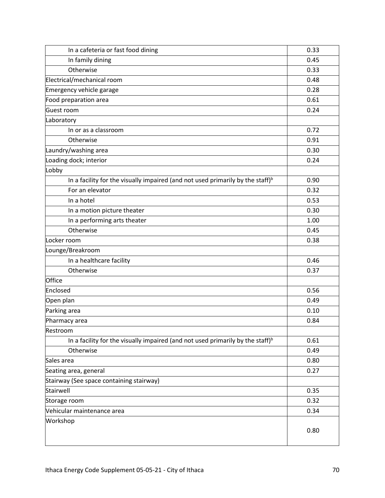| In a cafeteria or fast food dining                                                         | 0.33 |
|--------------------------------------------------------------------------------------------|------|
| In family dining                                                                           | 0.45 |
| Otherwise                                                                                  | 0.33 |
| Electrical/mechanical room                                                                 | 0.48 |
| Emergency vehicle garage                                                                   | 0.28 |
| Food preparation area                                                                      | 0.61 |
| Guest room                                                                                 | 0.24 |
| Laboratory                                                                                 |      |
| In or as a classroom                                                                       | 0.72 |
| Otherwise                                                                                  | 0.91 |
| Laundry/washing area                                                                       | 0.30 |
| Loading dock; interior                                                                     | 0.24 |
| Lobby                                                                                      |      |
| In a facility for the visually impaired (and not used primarily by the staff) <sup>b</sup> | 0.90 |
| For an elevator                                                                            | 0.32 |
| In a hotel                                                                                 | 0.53 |
| In a motion picture theater                                                                | 0.30 |
| In a performing arts theater                                                               | 1.00 |
| Otherwise                                                                                  | 0.45 |
| Locker room                                                                                | 0.38 |
| Lounge/Breakroom                                                                           |      |
| In a healthcare facility                                                                   | 0.46 |
| Otherwise                                                                                  | 0.37 |
| Office                                                                                     |      |
| Enclosed                                                                                   | 0.56 |
| Open plan                                                                                  | 0.49 |
| Parking area                                                                               | 0.10 |
| Pharmacy area                                                                              | 0.84 |
| Restroom                                                                                   |      |
| In a facility for the visually impaired (and not used primarily by the staff) <sup>b</sup> | 0.61 |
| Otherwise                                                                                  | 0.49 |
| Sales area                                                                                 | 0.80 |
| Seating area, general                                                                      | 0.27 |
| Stairway (See space containing stairway)                                                   |      |
| Stairwell                                                                                  | 0.35 |
| Storage room                                                                               | 0.32 |
| Vehicular maintenance area                                                                 | 0.34 |
| Workshop                                                                                   | 0.80 |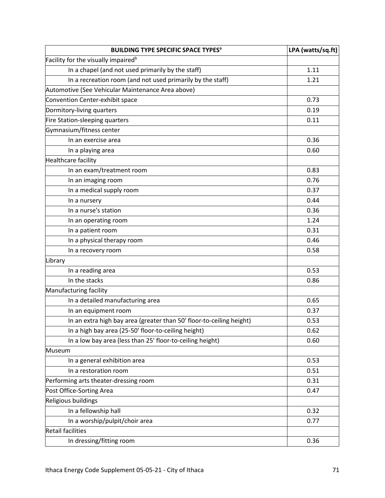| <b>BUILDING TYPE SPECIFIC SPACE TYPES<sup>a</sup></b>                | LPA (watts/sq.ft) |
|----------------------------------------------------------------------|-------------------|
| Facility for the visually impaired <sup>b</sup>                      |                   |
| In a chapel (and not used primarily by the staff)                    | 1.11              |
| In a recreation room (and not used primarily by the staff)           | 1.21              |
| Automotive (See Vehicular Maintenance Area above)                    |                   |
| Convention Center-exhibit space                                      | 0.73              |
| Dormitory-living quarters                                            | 0.19              |
| Fire Station-sleeping quarters                                       | 0.11              |
| Gymnasium/fitness center                                             |                   |
| In an exercise area                                                  | 0.36              |
| In a playing area                                                    | 0.60              |
| Healthcare facility                                                  |                   |
| In an exam/treatment room                                            | 0.83              |
| In an imaging room                                                   | 0.76              |
| In a medical supply room                                             | 0.37              |
| In a nursery                                                         | 0.44              |
| In a nurse's station                                                 | 0.36              |
| In an operating room                                                 | 1.24              |
| In a patient room                                                    | 0.31              |
| In a physical therapy room                                           | 0.46              |
| In a recovery room                                                   | 0.58              |
| Library                                                              |                   |
| In a reading area                                                    | 0.53              |
| In the stacks                                                        | 0.86              |
| Manufacturing facility                                               |                   |
| In a detailed manufacturing area                                     | 0.65              |
| In an equipment room                                                 | 0.37              |
| In an extra high bay area (greater than 50' floor-to-ceiling height) | 0.53              |
| In a high bay area (25-50' floor-to-ceiling height)                  | 0.62              |
| In a low bay area (less than 25' floor-to-ceiling height)            | 0.60              |
| Museum                                                               |                   |
| In a general exhibition area                                         | 0.53              |
| In a restoration room                                                | 0.51              |
| Performing arts theater-dressing room                                | 0.31              |
| Post Office-Sorting Area                                             | 0.47              |
| Religious buildings                                                  |                   |
| In a fellowship hall                                                 | 0.32              |
| In a worship/pulpit/choir area                                       | 0.77              |
| <b>Retail facilities</b>                                             |                   |
| In dressing/fitting room                                             | 0.36              |